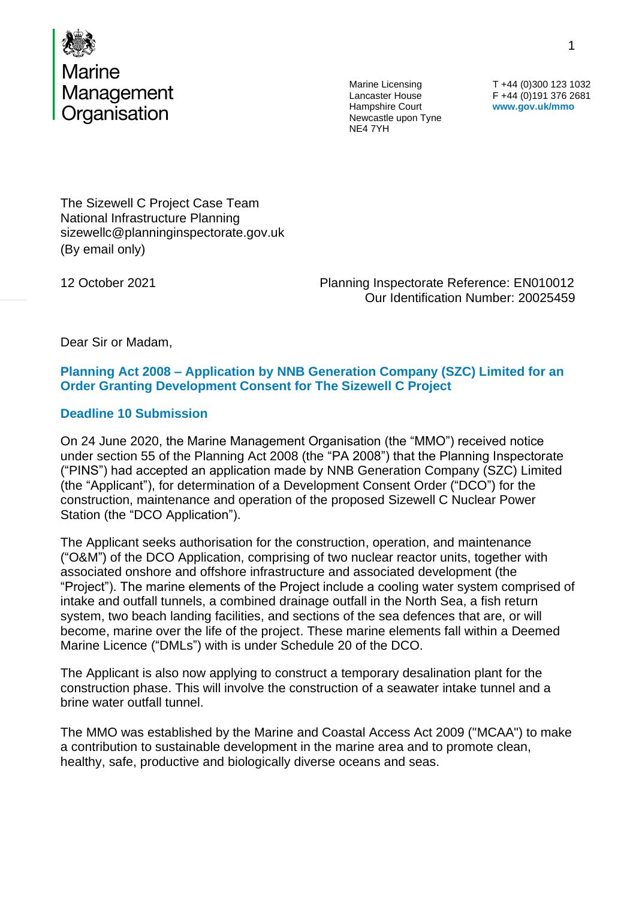

Lancaster House Hampshire Court Newcastle upon Tyne NE4 7YH

T +44 (0)300 123 1032 F +44 (0)191 376 2681 **www.gov.uk/mmo**

The Sizewell C Project Case Team National Infrastructure Planning sizewellc@planninginspectorate.gov.uk (By email only)

12 October 2021 Planning Inspectorate Reference: EN010012 Our Identification Number: 20025459

Dear Sir or Madam,

#### **Planning Act 2008 – Application by NNB Generation Company (SZC) Limited for an Order Granting Development Consent for The Sizewell C Project**

#### **Deadline 10 Submission**

On 24 June 2020, the Marine Management Organisation (the "MMO") received notice under section 55 of the Planning Act 2008 (the "PA 2008") that the Planning Inspectorate ("PINS") had accepted an application made by NNB Generation Company (SZC) Limited (the "Applicant"), for determination of a Development Consent Order ("DCO") for the construction, maintenance and operation of the proposed Sizewell C Nuclear Power Station (the "DCO Application").

The Applicant seeks authorisation for the construction, operation, and maintenance ("O&M") of the DCO Application, comprising of two nuclear reactor units, together with associated onshore and offshore infrastructure and associated development (the "Project"). The marine elements of the Project include a cooling water system comprised of intake and outfall tunnels, a combined drainage outfall in the North Sea, a fish return system, two beach landing facilities, and sections of the sea defences that are, or will become, marine over the life of the project. These marine elements fall within a Deemed Marine Licence ("DMLs") with is under Schedule 20 of the DCO.

The Applicant is also now applying to construct a temporary desalination plant for the construction phase. This will involve the construction of a seawater intake tunnel and a brine water outfall tunnel.

The MMO was established by the Marine and Coastal Access Act 2009 ("MCAA") to make a contribution to sustainable development in the marine area and to promote clean, healthy, safe, productive and biologically diverse oceans and seas.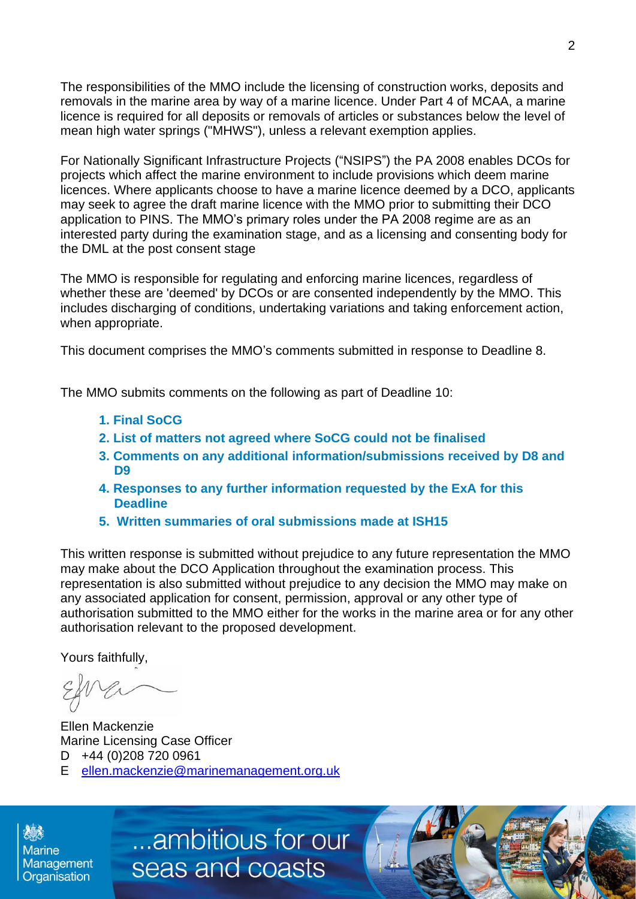The responsibilities of the MMO include the licensing of construction works, deposits and removals in the marine area by way of a marine licence. Under Part 4 of MCAA, a marine licence is required for all deposits or removals of articles or substances below the level of mean high water springs ("MHWS"), unless a relevant exemption applies.

For Nationally Significant Infrastructure Projects ("NSIPS") the PA 2008 enables DCOs for projects which affect the marine environment to include provisions which deem marine licences. Where applicants choose to have a marine licence deemed by a DCO, applicants may seek to agree the draft marine licence with the MMO prior to submitting their DCO application to PINS. The MMO's primary roles under the PA 2008 regime are as an interested party during the examination stage, and as a licensing and consenting body for the DML at the post consent stage

The MMO is responsible for regulating and enforcing marine licences, regardless of whether these are 'deemed' by DCOs or are consented independently by the MMO. This includes discharging of conditions, undertaking variations and taking enforcement action, when appropriate.

This document comprises the MMO's comments submitted in response to Deadline 8.

The MMO submits comments on the following as part of Deadline 10:

- **1. Final SoCG**
- **2. List of matters not agreed where SoCG could not be finalised**
- **3. Comments on any additional information/submissions received by D8 and D9**
- **4. Responses to any further information requested by the ExA for this Deadline**
- **5. Written summaries of oral submissions made at ISH15**

This written response is submitted without prejudice to any future representation the MMO may make about the DCO Application throughout the examination process. This representation is also submitted without prejudice to any decision the MMO may make on any associated application for consent, permission, approval or any other type of authorisation submitted to the MMO either for the works in the marine area or for any other authorisation relevant to the proposed development.

Yours faithfully,

Ellen Mackenzie Marine Licensing Case Officer D +44 (0)208 720 0961 E [ellen.mackenzie@marinemanagement.org.uk](mailto:ellen.mackenzie@marinemanagement.org.uk)

**Marine** Management Organisation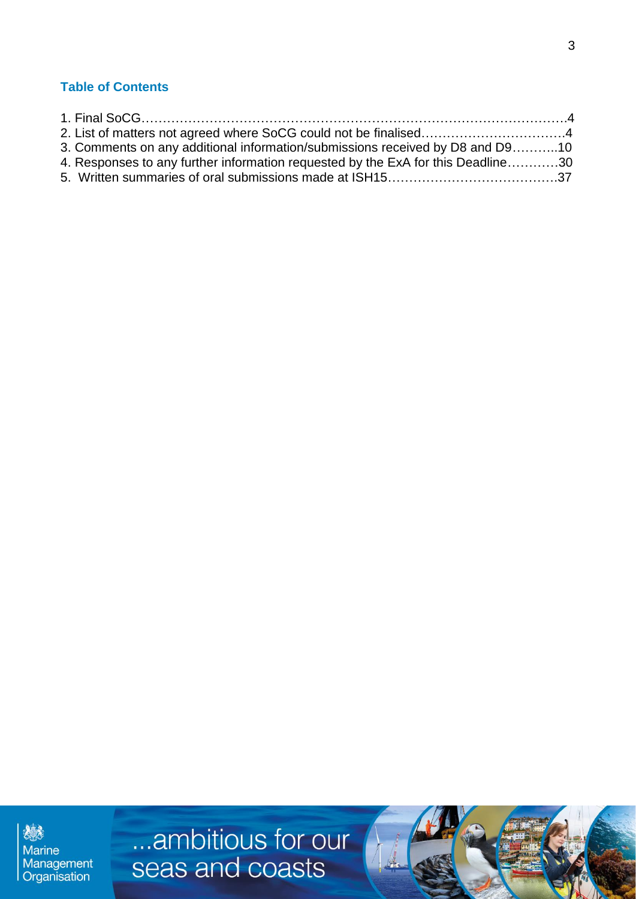# **Table of Contents**

| 3. Comments on any additional information/submissions received by D8 and D910    |  |
|----------------------------------------------------------------------------------|--|
| 4. Responses to any further information requested by the ExA for this Deadline30 |  |
|                                                                                  |  |

爆 Marine<br>Management<br>Organisation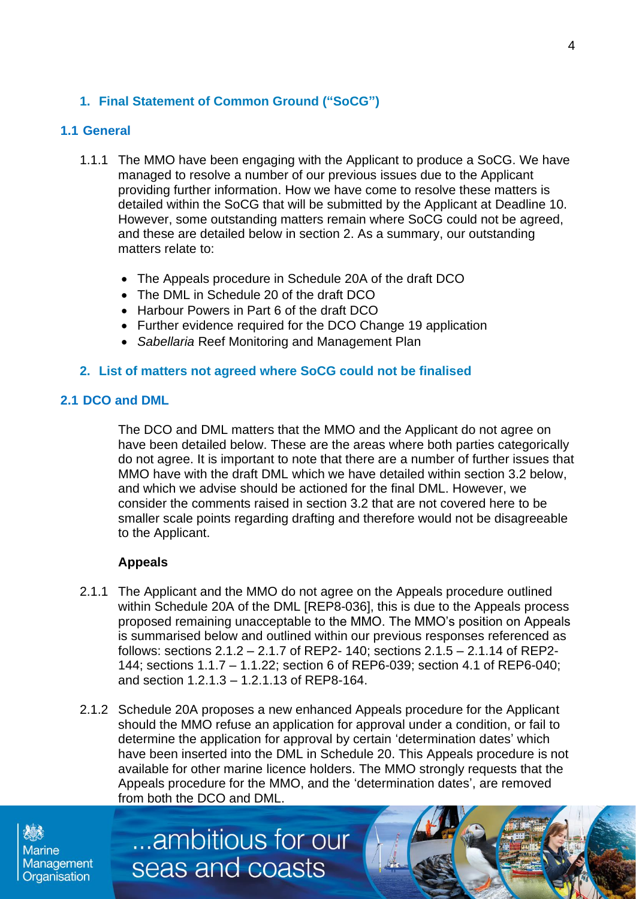# **1. Final Statement of Common Ground ("SoCG")**

#### **1.1 General**

- 1.1.1 The MMO have been engaging with the Applicant to produce a SoCG. We have managed to resolve a number of our previous issues due to the Applicant providing further information. How we have come to resolve these matters is detailed within the SoCG that will be submitted by the Applicant at Deadline 10. However, some outstanding matters remain where SoCG could not be agreed, and these are detailed below in section 2. As a summary, our outstanding matters relate to:
	- The Appeals procedure in Schedule 20A of the draft DCO
	- The DML in Schedule 20 of the draft DCO
	- Harbour Powers in Part 6 of the draft DCO
	- Further evidence required for the DCO Change 19 application
	- *Sabellaria* Reef Monitoring and Management Plan

#### **2. List of matters not agreed where SoCG could not be finalised**

#### **2.1 DCO and DML**

The DCO and DML matters that the MMO and the Applicant do not agree on have been detailed below. These are the areas where both parties categorically do not agree. It is important to note that there are a number of further issues that MMO have with the draft DML which we have detailed within section 3.2 below, and which we advise should be actioned for the final DML. However, we consider the comments raised in section 3.2 that are not covered here to be smaller scale points regarding drafting and therefore would not be disagreeable to the Applicant.

#### **Appeals**

- 2.1.1 The Applicant and the MMO do not agree on the Appeals procedure outlined within Schedule 20A of the DML [REP8-036], this is due to the Appeals process proposed remaining unacceptable to the MMO. The MMO's position on Appeals is summarised below and outlined within our previous responses referenced as follows: sections 2.1.2 – 2.1.7 of REP2- 140; sections 2.1.5 – 2.1.14 of REP2- 144; sections 1.1.7 – 1.1.22; section 6 of REP6-039; section 4.1 of REP6-040; and section 1.2.1.3 – 1.2.1.13 of REP8-164.
- 2.1.2 Schedule 20A proposes a new enhanced Appeals procedure for the Applicant should the MMO refuse an application for approval under a condition, or fail to determine the application for approval by certain 'determination dates' which have been inserted into the DML in Schedule 20. This Appeals procedure is not available for other marine licence holders. The MMO strongly requests that the Appeals procedure for the MMO, and the 'determination dates', are removed from both the DCO and DML.

...ambitious for our

seas and coasts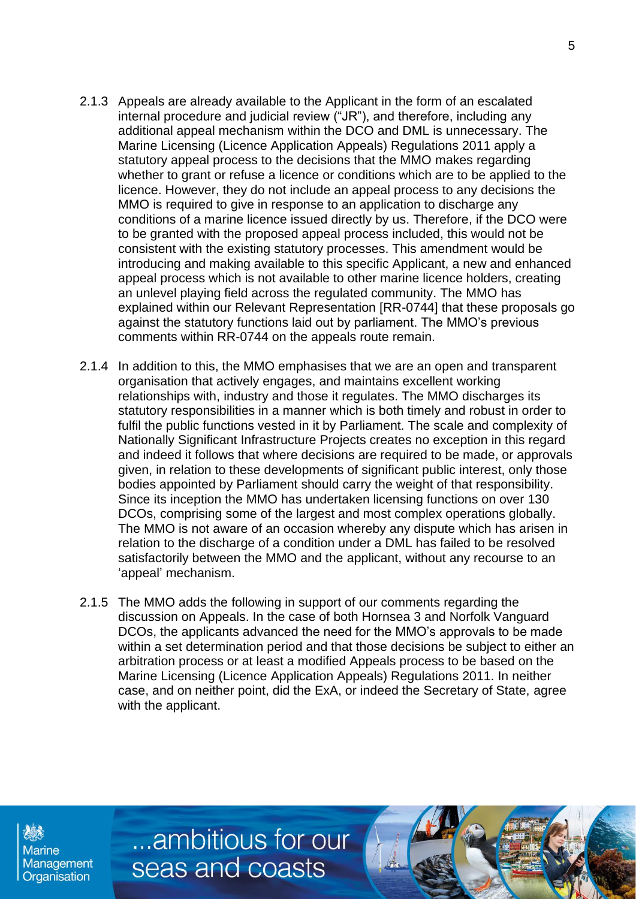- 2.1.3 Appeals are already available to the Applicant in the form of an escalated internal procedure and judicial review ("JR"), and therefore, including any additional appeal mechanism within the DCO and DML is unnecessary. The Marine Licensing (Licence Application Appeals) Regulations 2011 apply a statutory appeal process to the decisions that the MMO makes regarding whether to grant or refuse a licence or conditions which are to be applied to the licence. However, they do not include an appeal process to any decisions the MMO is required to give in response to an application to discharge any conditions of a marine licence issued directly by us. Therefore, if the DCO were to be granted with the proposed appeal process included, this would not be consistent with the existing statutory processes. This amendment would be introducing and making available to this specific Applicant, a new and enhanced appeal process which is not available to other marine licence holders, creating an unlevel playing field across the regulated community. The MMO has explained within our Relevant Representation [RR-0744] that these proposals go against the statutory functions laid out by parliament. The MMO's previous comments within RR-0744 on the appeals route remain.
- 2.1.4 In addition to this, the MMO emphasises that we are an open and transparent organisation that actively engages, and maintains excellent working relationships with, industry and those it regulates. The MMO discharges its statutory responsibilities in a manner which is both timely and robust in order to fulfil the public functions vested in it by Parliament. The scale and complexity of Nationally Significant Infrastructure Projects creates no exception in this regard and indeed it follows that where decisions are required to be made, or approvals given, in relation to these developments of significant public interest, only those bodies appointed by Parliament should carry the weight of that responsibility. Since its inception the MMO has undertaken licensing functions on over 130 DCOs, comprising some of the largest and most complex operations globally. The MMO is not aware of an occasion whereby any dispute which has arisen in relation to the discharge of a condition under a DML has failed to be resolved satisfactorily between the MMO and the applicant, without any recourse to an 'appeal' mechanism.
- 2.1.5 The MMO adds the following in support of our comments regarding the discussion on Appeals. In the case of both Hornsea 3 and Norfolk Vanguard DCOs, the applicants advanced the need for the MMO's approvals to be made within a set determination period and that those decisions be subject to either an arbitration process or at least a modified Appeals process to be based on the Marine Licensing (Licence Application Appeals) Regulations 2011. In neither case, and on neither point, did the ExA, or indeed the Secretary of State, agree with the applicant.

**Marine** Management Organisation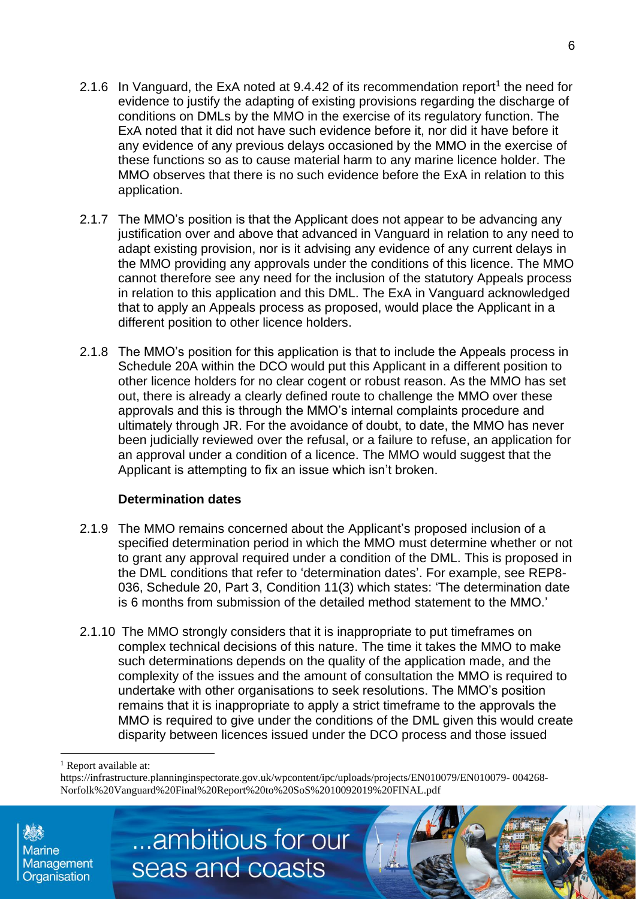- 2.1.6 In Vanguard, the ExA noted at 9.4.42 of its recommendation report<sup>1</sup> the need for evidence to justify the adapting of existing provisions regarding the discharge of conditions on DMLs by the MMO in the exercise of its regulatory function. The ExA noted that it did not have such evidence before it, nor did it have before it any evidence of any previous delays occasioned by the MMO in the exercise of these functions so as to cause material harm to any marine licence holder. The MMO observes that there is no such evidence before the ExA in relation to this application.
- 2.1.7 The MMO's position is that the Applicant does not appear to be advancing any justification over and above that advanced in Vanguard in relation to any need to adapt existing provision, nor is it advising any evidence of any current delays in the MMO providing any approvals under the conditions of this licence. The MMO cannot therefore see any need for the inclusion of the statutory Appeals process in relation to this application and this DML. The ExA in Vanguard acknowledged that to apply an Appeals process as proposed, would place the Applicant in a different position to other licence holders.
- 2.1.8 The MMO's position for this application is that to include the Appeals process in Schedule 20A within the DCO would put this Applicant in a different position to other licence holders for no clear cogent or robust reason. As the MMO has set out, there is already a clearly defined route to challenge the MMO over these approvals and this is through the MMO's internal complaints procedure and ultimately through JR. For the avoidance of doubt, to date, the MMO has never been judicially reviewed over the refusal, or a failure to refuse, an application for an approval under a condition of a licence. The MMO would suggest that the Applicant is attempting to fix an issue which isn't broken.

# **Determination dates**

- 2.1.9 The MMO remains concerned about the Applicant's proposed inclusion of a specified determination period in which the MMO must determine whether or not to grant any approval required under a condition of the DML. This is proposed in the DML conditions that refer to 'determination dates'. For example, see REP8- 036, Schedule 20, Part 3, Condition 11(3) which states: 'The determination date is 6 months from submission of the detailed method statement to the MMO.'
- 2.1.10 The MMO strongly considers that it is inappropriate to put timeframes on complex technical decisions of this nature. The time it takes the MMO to make such determinations depends on the quality of the application made, and the complexity of the issues and the amount of consultation the MMO is required to undertake with other organisations to seek resolutions. The MMO's position remains that it is inappropriate to apply a strict timeframe to the approvals the MMO is required to give under the conditions of the DML given this would create disparity between licences issued under the DCO process and those issued

https://infrastructure.planninginspectorate.gov.uk/wpcontent/ipc/uploads/projects/EN010079/EN010079- 004268- Norfolk%20Vanguard%20Final%20Report%20to%20SoS%2010092019%20FINAL.pdf



Report available at: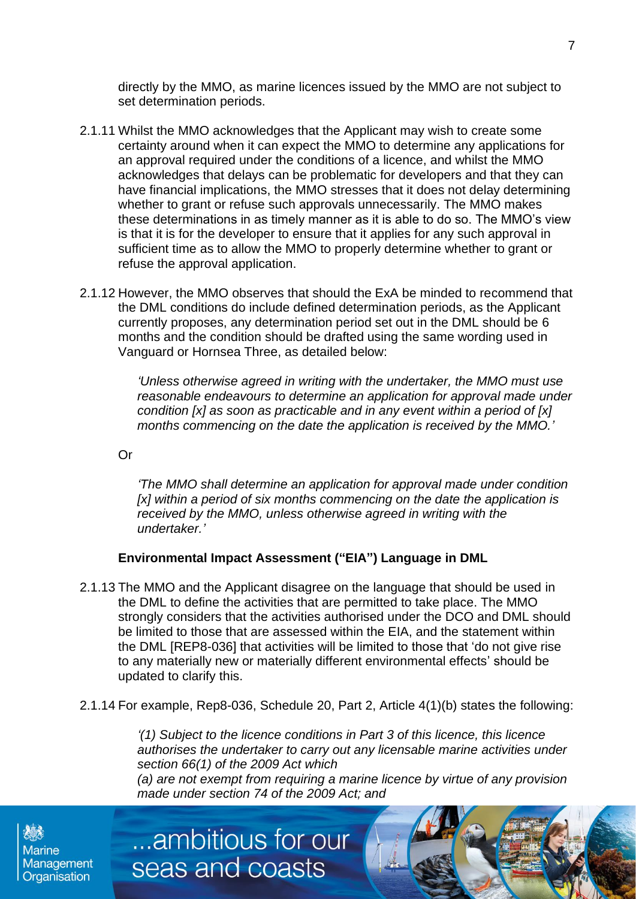directly by the MMO, as marine licences issued by the MMO are not subject to set determination periods.

- 2.1.11 Whilst the MMO acknowledges that the Applicant may wish to create some certainty around when it can expect the MMO to determine any applications for an approval required under the conditions of a licence, and whilst the MMO acknowledges that delays can be problematic for developers and that they can have financial implications, the MMO stresses that it does not delay determining whether to grant or refuse such approvals unnecessarily. The MMO makes these determinations in as timely manner as it is able to do so. The MMO's view is that it is for the developer to ensure that it applies for any such approval in sufficient time as to allow the MMO to properly determine whether to grant or refuse the approval application.
- 2.1.12 However, the MMO observes that should the ExA be minded to recommend that the DML conditions do include defined determination periods, as the Applicant currently proposes, any determination period set out in the DML should be 6 months and the condition should be drafted using the same wording used in Vanguard or Hornsea Three, as detailed below:

*'Unless otherwise agreed in writing with the undertaker, the MMO must use reasonable endeavours to determine an application for approval made under condition [x] as soon as practicable and in any event within a period of [x] months commencing on the date the application is received by the MMO.'*

Or

*'The MMO shall determine an application for approval made under condition [x] within a period of six months commencing on the date the application is received by the MMO, unless otherwise agreed in writing with the undertaker.'*

#### **Environmental Impact Assessment ("EIA") Language in DML**

- 2.1.13 The MMO and the Applicant disagree on the language that should be used in the DML to define the activities that are permitted to take place. The MMO strongly considers that the activities authorised under the DCO and DML should be limited to those that are assessed within the EIA, and the statement within the DML [REP8-036] that activities will be limited to those that 'do not give rise to any materially new or materially different environmental effects' should be updated to clarify this.
- 2.1.14 For example, Rep8-036, Schedule 20, Part 2, Article 4(1)(b) states the following:

...ambitious for our

seas and coasts

*'(1) Subject to the licence conditions in Part 3 of this licence, this licence authorises the undertaker to carry out any licensable marine activities under section 66(1) of the 2009 Act which (a) are not exempt from requiring a marine licence by virtue of any provision made under section 74 of the 2009 Act; and*

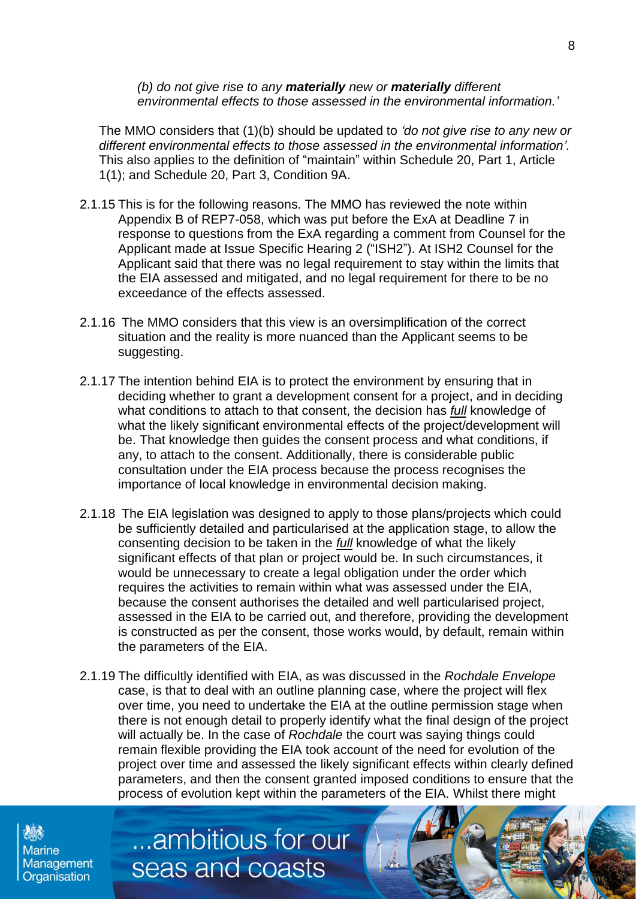*(b) do not give rise to any materially new or materially different environmental effects to those assessed in the environmental information.'*

The MMO considers that (1)(b) should be updated to *'do not give rise to any new or different environmental effects to those assessed in the environmental information'.*  This also applies to the definition of "maintain" within Schedule 20, Part 1, Article 1(1); and Schedule 20, Part 3, Condition 9A.

- 2.1.15 This is for the following reasons. The MMO has reviewed the note within Appendix B of REP7-058, which was put before the ExA at Deadline 7 in response to questions from the ExA regarding a comment from Counsel for the Applicant made at Issue Specific Hearing 2 ("ISH2"). At ISH2 Counsel for the Applicant said that there was no legal requirement to stay within the limits that the EIA assessed and mitigated, and no legal requirement for there to be no exceedance of the effects assessed.
- 2.1.16 The MMO considers that this view is an oversimplification of the correct situation and the reality is more nuanced than the Applicant seems to be suggesting.
- 2.1.17 The intention behind EIA is to protect the environment by ensuring that in deciding whether to grant a development consent for a project, and in deciding what conditions to attach to that consent, the decision has *full* knowledge of what the likely significant environmental effects of the project/development will be. That knowledge then guides the consent process and what conditions, if any, to attach to the consent. Additionally, there is considerable public consultation under the EIA process because the process recognises the importance of local knowledge in environmental decision making.
- 2.1.18 The EIA legislation was designed to apply to those plans/projects which could be sufficiently detailed and particularised at the application stage, to allow the consenting decision to be taken in the *full* knowledge of what the likely significant effects of that plan or project would be. In such circumstances, it would be unnecessary to create a legal obligation under the order which requires the activities to remain within what was assessed under the EIA, because the consent authorises the detailed and well particularised project, assessed in the EIA to be carried out, and therefore, providing the development is constructed as per the consent, those works would, by default, remain within the parameters of the EIA.
- 2.1.19 The difficultly identified with EIA, as was discussed in the *Rochdale Envelope* case, is that to deal with an outline planning case, where the project will flex over time, you need to undertake the EIA at the outline permission stage when there is not enough detail to properly identify what the final design of the project will actually be. In the case of *Rochdale* the court was saying things could remain flexible providing the EIA took account of the need for evolution of the project over time and assessed the likely significant effects within clearly defined parameters, and then the consent granted imposed conditions to ensure that the process of evolution kept within the parameters of the EIA. Whilst there might

**Marine** Management Organisation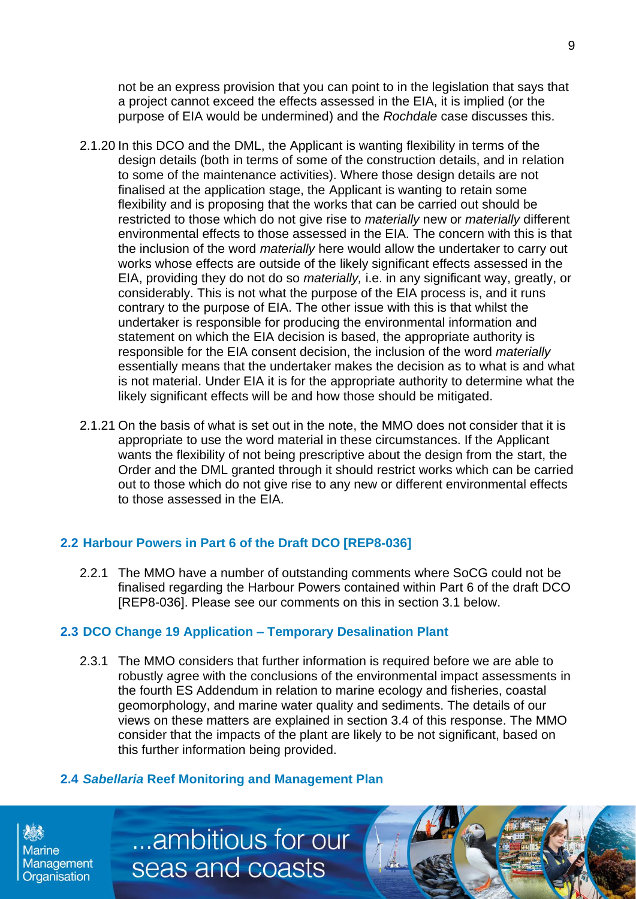not be an express provision that you can point to in the legislation that says that a project cannot exceed the effects assessed in the EIA, it is implied (or the purpose of EIA would be undermined) and the *Rochdale* case discusses this.

- 2.1.20 In this DCO and the DML, the Applicant is wanting flexibility in terms of the design details (both in terms of some of the construction details, and in relation to some of the maintenance activities). Where those design details are not finalised at the application stage, the Applicant is wanting to retain some flexibility and is proposing that the works that can be carried out should be restricted to those which do not give rise to *materially* new or *materially* different environmental effects to those assessed in the EIA. The concern with this is that the inclusion of the word *materially* here would allow the undertaker to carry out works whose effects are outside of the likely significant effects assessed in the EIA, providing they do not do so *materially,* i.e. in any significant way, greatly, or considerably. This is not what the purpose of the EIA process is, and it runs contrary to the purpose of EIA. The other issue with this is that whilst the undertaker is responsible for producing the environmental information and statement on which the EIA decision is based, the appropriate authority is responsible for the EIA consent decision, the inclusion of the word *materially* essentially means that the undertaker makes the decision as to what is and what is not material. Under EIA it is for the appropriate authority to determine what the likely significant effects will be and how those should be mitigated.
- 2.1.21 On the basis of what is set out in the note, the MMO does not consider that it is appropriate to use the word material in these circumstances. If the Applicant wants the flexibility of not being prescriptive about the design from the start, the Order and the DML granted through it should restrict works which can be carried out to those which do not give rise to any new or different environmental effects to those assessed in the EIA.

# **2.2 Harbour Powers in Part 6 of the Draft DCO [REP8-036]**

2.2.1 The MMO have a number of outstanding comments where SoCG could not be finalised regarding the Harbour Powers contained within Part 6 of the draft DCO [REP8-036]. Please see our comments on this in section 3.1 below.

# **2.3 DCO Change 19 Application – Temporary Desalination Plant**

2.3.1 The MMO considers that further information is required before we are able to robustly agree with the conclusions of the environmental impact assessments in the fourth ES Addendum in relation to marine ecology and fisheries, coastal geomorphology, and marine water quality and sediments. The details of our views on these matters are explained in section 3.4 of this response. The MMO consider that the impacts of the plant are likely to be not significant, based on this further information being provided.

#### **2.4** *Sabellaria* **Reef Monitoring and Management Plan**

...ambitious for our

seas and coasts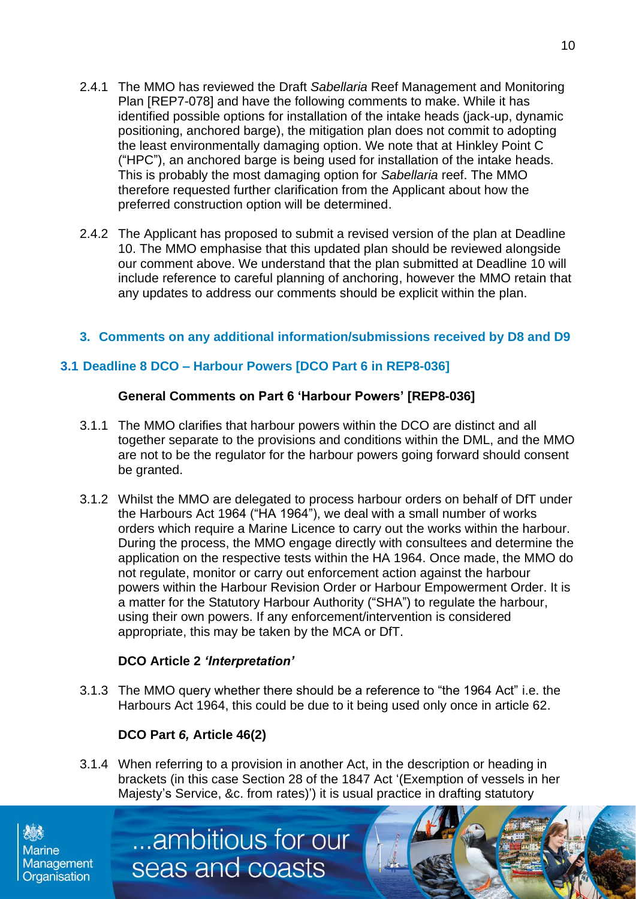- 2.4.1 The MMO has reviewed the Draft *Sabellaria* Reef Management and Monitoring Plan [REP7-078] and have the following comments to make. While it has identified possible options for installation of the intake heads (jack-up, dynamic positioning, anchored barge), the mitigation plan does not commit to adopting the least environmentally damaging option. We note that at Hinkley Point C ("HPC"), an anchored barge is being used for installation of the intake heads. This is probably the most damaging option for *Sabellaria* reef. The MMO therefore requested further clarification from the Applicant about how the preferred construction option will be determined.
- 2.4.2 The Applicant has proposed to submit a revised version of the plan at Deadline 10. The MMO emphasise that this updated plan should be reviewed alongside our comment above. We understand that the plan submitted at Deadline 10 will include reference to careful planning of anchoring, however the MMO retain that any updates to address our comments should be explicit within the plan.

#### **3. Comments on any additional information/submissions received by D8 and D9**

# **3.1 Deadline 8 DCO – Harbour Powers [DCO Part 6 in REP8-036]**

#### **General Comments on Part 6 'Harbour Powers' [REP8-036]**

- 3.1.1 The MMO clarifies that harbour powers within the DCO are distinct and all together separate to the provisions and conditions within the DML, and the MMO are not to be the regulator for the harbour powers going forward should consent be granted.
- 3.1.2 Whilst the MMO are delegated to process harbour orders on behalf of DfT under the Harbours Act 1964 ("HA 1964"), we deal with a small number of works orders which require a Marine Licence to carry out the works within the harbour. During the process, the MMO engage directly with consultees and determine the application on the respective tests within the HA 1964. Once made, the MMO do not regulate, monitor or carry out enforcement action against the harbour powers within the Harbour Revision Order or Harbour Empowerment Order. It is a matter for the Statutory Harbour Authority ("SHA") to regulate the harbour, using their own powers. If any enforcement/intervention is considered appropriate, this may be taken by the MCA or DfT.

#### **DCO Article 2** *'Interpretation'*

3.1.3 The MMO query whether there should be a reference to "the 1964 Act" i.e. the Harbours Act 1964, this could be due to it being used only once in article 62.

#### **DCO Part** *6,* **Article 46(2)**

3.1.4 When referring to a provision in another Act, in the description or heading in brackets (in this case Section 28 of the 1847 Act '(Exemption of vessels in her Majesty's Service, &c. from rates)') it is usual practice in drafting statutory

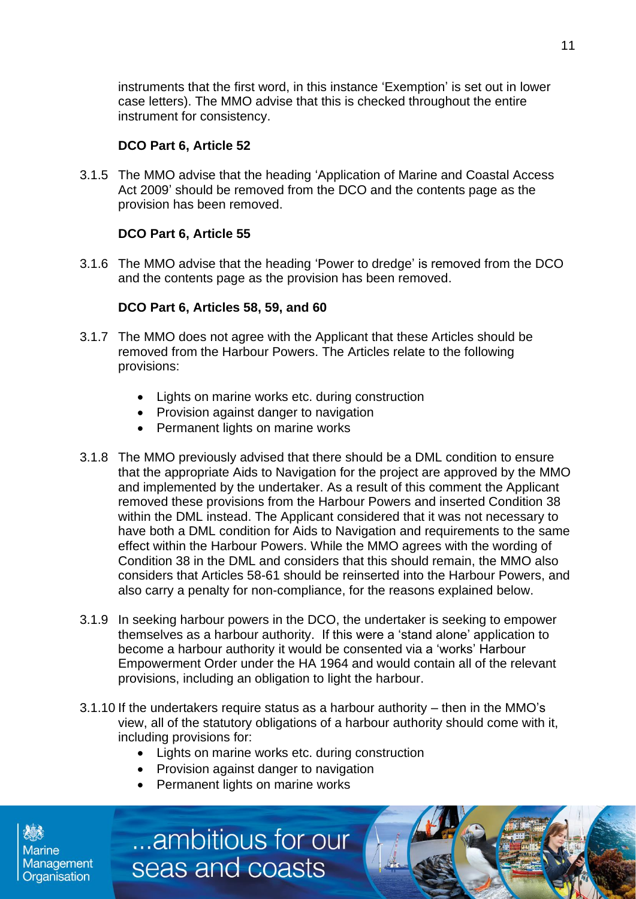instruments that the first word, in this instance 'Exemption' is set out in lower case letters). The MMO advise that this is checked throughout the entire instrument for consistency.

#### **DCO Part 6, Article 52**

3.1.5 The MMO advise that the heading 'Application of Marine and Coastal Access Act 2009' should be removed from the DCO and the contents page as the provision has been removed.

#### **DCO Part 6, Article 55**

3.1.6 The MMO advise that the heading 'Power to dredge' is removed from the DCO and the contents page as the provision has been removed.

#### **DCO Part 6, Articles 58, 59, and 60**

- 3.1.7 The MMO does not agree with the Applicant that these Articles should be removed from the Harbour Powers. The Articles relate to the following provisions:
	- Lights on marine works etc. during construction
	- Provision against danger to navigation
	- Permanent lights on marine works
- 3.1.8 The MMO previously advised that there should be a DML condition to ensure that the appropriate Aids to Navigation for the project are approved by the MMO and implemented by the undertaker. As a result of this comment the Applicant removed these provisions from the Harbour Powers and inserted Condition 38 within the DML instead. The Applicant considered that it was not necessary to have both a DML condition for Aids to Navigation and requirements to the same effect within the Harbour Powers. While the MMO agrees with the wording of Condition 38 in the DML and considers that this should remain, the MMO also considers that Articles 58-61 should be reinserted into the Harbour Powers, and also carry a penalty for non-compliance, for the reasons explained below.
- 3.1.9 In seeking harbour powers in the DCO, the undertaker is seeking to empower themselves as a harbour authority. If this were a 'stand alone' application to become a harbour authority it would be consented via a 'works' Harbour Empowerment Order under the HA 1964 and would contain all of the relevant provisions, including an obligation to light the harbour.
- 3.1.10 If the undertakers require status as a harbour authority then in the MMO's view, all of the statutory obligations of a harbour authority should come with it, including provisions for:
	- Lights on marine works etc. during construction
	- Provision against danger to navigation
	- Permanent lights on marine works

...ambitious for our

seas and coasts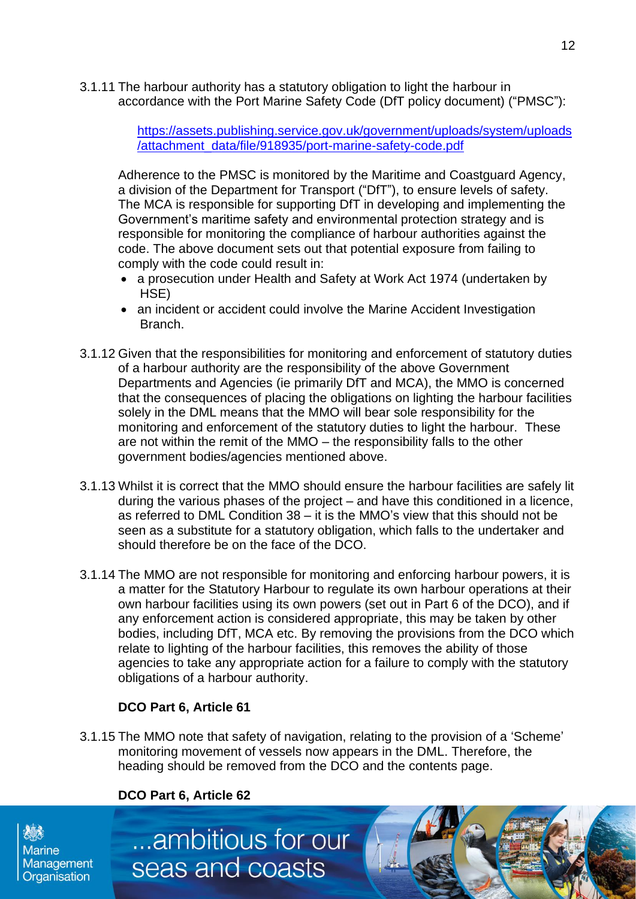3.1.11 The harbour authority has a statutory obligation to light the harbour in accordance with the Port Marine Safety Code (DfT policy document) ("PMSC"):

> [https://assets.publishing.service.gov.uk/government/uploads/system/uploads](https://eur03.safelinks.protection.outlook.com/?url=https%3A%2F%2Fassets.publishing.service.gov.uk%2Fgovernment%2Fuploads%2Fsystem%2Fuploads%2Fattachment_data%2Ffile%2F918935%2Fport-marine-safety-code.pdf&data=04%7C01%7CEllen.MacKenzie%40marinemanagement.org.uk%7C0101bab9c2ec49d6638f08d98a5482dd%7C770a245002274c6290c74e38537f1102%7C0%7C0%7C637692917844869811%7CUnknown%7CTWFpbGZsb3d8eyJWIjoiMC4wLjAwMDAiLCJQIjoiV2luMzIiLCJBTiI6Ik1haWwiLCJXVCI6Mn0%3D%7C1000&sdata=UTi4WIKUm9Rp2VTtgi2hzLadjfIcymIUzOwqANDSJ%2F0%3D&reserved=0) [/attachment\\_data/file/918935/port-marine-safety-code.pdf](https://eur03.safelinks.protection.outlook.com/?url=https%3A%2F%2Fassets.publishing.service.gov.uk%2Fgovernment%2Fuploads%2Fsystem%2Fuploads%2Fattachment_data%2Ffile%2F918935%2Fport-marine-safety-code.pdf&data=04%7C01%7CEllen.MacKenzie%40marinemanagement.org.uk%7C0101bab9c2ec49d6638f08d98a5482dd%7C770a245002274c6290c74e38537f1102%7C0%7C0%7C637692917844869811%7CUnknown%7CTWFpbGZsb3d8eyJWIjoiMC4wLjAwMDAiLCJQIjoiV2luMzIiLCJBTiI6Ik1haWwiLCJXVCI6Mn0%3D%7C1000&sdata=UTi4WIKUm9Rp2VTtgi2hzLadjfIcymIUzOwqANDSJ%2F0%3D&reserved=0)

Adherence to the PMSC is monitored by the Maritime and Coastguard Agency, a division of the Department for Transport ("DfT"), to ensure levels of safety. The MCA is responsible for supporting DfT in developing and implementing the Government's maritime safety and environmental protection strategy and is responsible for monitoring the compliance of harbour authorities against the code. The above document sets out that potential exposure from failing to comply with the code could result in:

- a prosecution under Health and Safety at Work Act 1974 (undertaken by HSE)
- an incident or accident could involve the Marine Accident Investigation Branch.
- 3.1.12 Given that the responsibilities for monitoring and enforcement of statutory duties of a harbour authority are the responsibility of the above Government Departments and Agencies (ie primarily DfT and MCA), the MMO is concerned that the consequences of placing the obligations on lighting the harbour facilities solely in the DML means that the MMO will bear sole responsibility for the monitoring and enforcement of the statutory duties to light the harbour. These are not within the remit of the MMO – the responsibility falls to the other government bodies/agencies mentioned above.
- 3.1.13 Whilst it is correct that the MMO should ensure the harbour facilities are safely lit during the various phases of the project – and have this conditioned in a licence, as referred to DML Condition 38 – it is the MMO's view that this should not be seen as a substitute for a statutory obligation, which falls to the undertaker and should therefore be on the face of the DCO.
- 3.1.14 The MMO are not responsible for monitoring and enforcing harbour powers, it is a matter for the Statutory Harbour to regulate its own harbour operations at their own harbour facilities using its own powers (set out in Part 6 of the DCO), and if any enforcement action is considered appropriate, this may be taken by other bodies, including DfT, MCA etc. By removing the provisions from the DCO which relate to lighting of the harbour facilities, this removes the ability of those agencies to take any appropriate action for a failure to comply with the statutory obligations of a harbour authority.

# **DCO Part 6, Article 61**

3.1.15 The MMO note that safety of navigation, relating to the provision of a 'Scheme' monitoring movement of vessels now appears in the DML. Therefore, the heading should be removed from the DCO and the contents page.

#### **DCO Part 6, Article 62**

...ambitious for our

seas and coasts

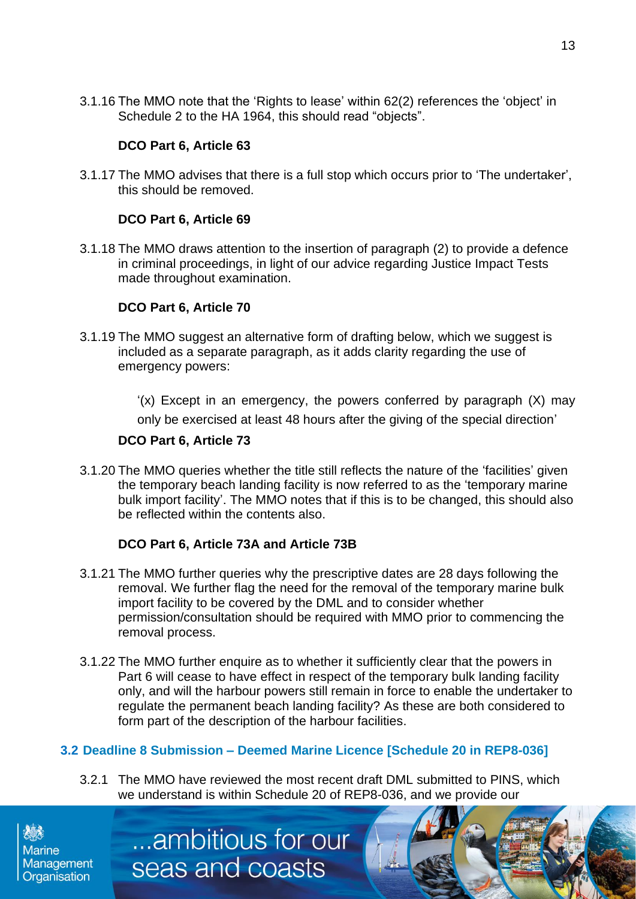3.1.16 The MMO note that the 'Rights to lease' within 62(2) references the 'object' in Schedule 2 to the HA 1964, this should read "objects".

#### **DCO Part 6, Article 63**

3.1.17 The MMO advises that there is a full stop which occurs prior to 'The undertaker', this should be removed.

#### **DCO Part 6, Article 69**

3.1.18 The MMO draws attention to the insertion of paragraph (2) to provide a defence in criminal proceedings, in light of our advice regarding Justice Impact Tests made throughout examination.

#### **DCO Part 6, Article 70**

3.1.19 The MMO suggest an alternative form of drafting below, which we suggest is included as a separate paragraph, as it adds clarity regarding the use of emergency powers:

> '(x) Except in an emergency, the powers conferred by paragraph (X) may only be exercised at least 48 hours after the giving of the special direction'

#### **DCO Part 6, Article 73**

3.1.20 The MMO queries whether the title still reflects the nature of the 'facilities' given the temporary beach landing facility is now referred to as the 'temporary marine bulk import facility'. The MMO notes that if this is to be changed, this should also be reflected within the contents also.

#### **DCO Part 6, Article 73A and Article 73B**

...ambitious for our

seas and coasts

- 3.1.21 The MMO further queries why the prescriptive dates are 28 days following the removal. We further flag the need for the removal of the temporary marine bulk import facility to be covered by the DML and to consider whether permission/consultation should be required with MMO prior to commencing the removal process.
- 3.1.22 The MMO further enquire as to whether it sufficiently clear that the powers in Part 6 will cease to have effect in respect of the temporary bulk landing facility only, and will the harbour powers still remain in force to enable the undertaker to regulate the permanent beach landing facility? As these are both considered to form part of the description of the harbour facilities.

# **3.2 Deadline 8 Submission – Deemed Marine Licence [Schedule 20 in REP8-036]**

3.2.1 The MMO have reviewed the most recent draft DML submitted to PINS, which we understand is within Schedule 20 of REP8-036, and we provide our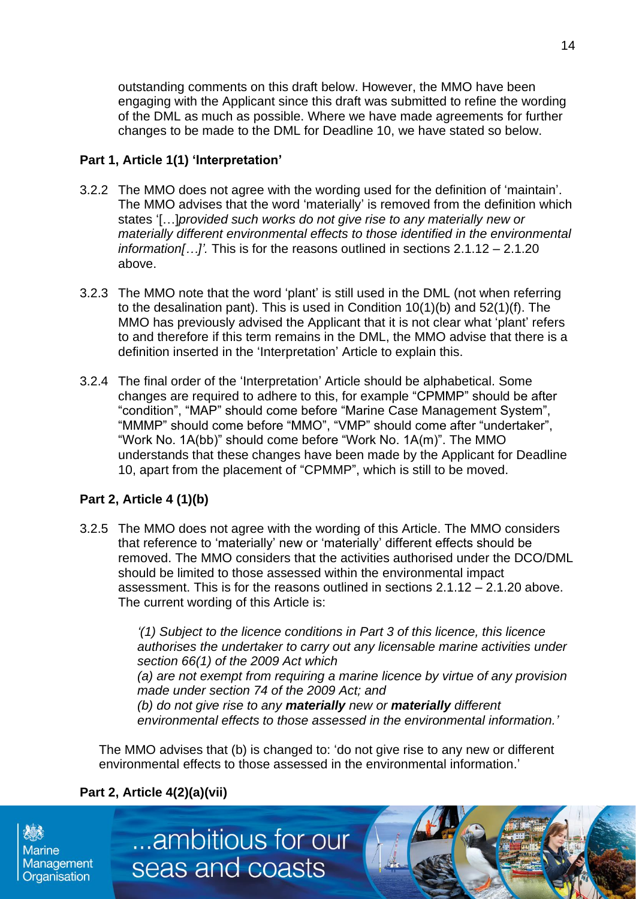outstanding comments on this draft below. However, the MMO have been engaging with the Applicant since this draft was submitted to refine the wording of the DML as much as possible. Where we have made agreements for further changes to be made to the DML for Deadline 10, we have stated so below.

#### **Part 1, Article 1(1) 'Interpretation'**

- 3.2.2 The MMO does not agree with the wording used for the definition of 'maintain'. The MMO advises that the word 'materially' is removed from the definition which states '[…]*provided such works do not give rise to any materially new or materially different environmental effects to those identified in the environmental information[…]'.* This is for the reasons outlined in sections 2.1.12 – 2.1.20 above.
- 3.2.3 The MMO note that the word 'plant' is still used in the DML (not when referring to the desalination pant). This is used in Condition 10(1)(b) and 52(1)(f). The MMO has previously advised the Applicant that it is not clear what 'plant' refers to and therefore if this term remains in the DML, the MMO advise that there is a definition inserted in the 'Interpretation' Article to explain this.
- 3.2.4 The final order of the 'Interpretation' Article should be alphabetical. Some changes are required to adhere to this, for example "CPMMP" should be after "condition", "MAP" should come before "Marine Case Management System", "MMMP" should come before "MMO", "VMP" should come after "undertaker", "Work No. 1A(bb)" should come before "Work No. 1A(m)". The MMO understands that these changes have been made by the Applicant for Deadline 10, apart from the placement of "CPMMP", which is still to be moved.

# **Part 2, Article 4 (1)(b)**

3.2.5 The MMO does not agree with the wording of this Article. The MMO considers that reference to 'materially' new or 'materially' different effects should be removed. The MMO considers that the activities authorised under the DCO/DML should be limited to those assessed within the environmental impact assessment. This is for the reasons outlined in sections 2.1.12 – 2.1.20 above. The current wording of this Article is:

> *'(1) Subject to the licence conditions in Part 3 of this licence, this licence authorises the undertaker to carry out any licensable marine activities under section 66(1) of the 2009 Act which (a) are not exempt from requiring a marine licence by virtue of any provision made under section 74 of the 2009 Act; and (b) do not give rise to any materially new or materially different environmental effects to those assessed in the environmental information.'*

The MMO advises that (b) is changed to: 'do not give rise to any new or different environmental effects to those assessed in the environmental information.'

# **Part 2, Article 4(2)(a)(vii)**

...ambitious for our

seas and coasts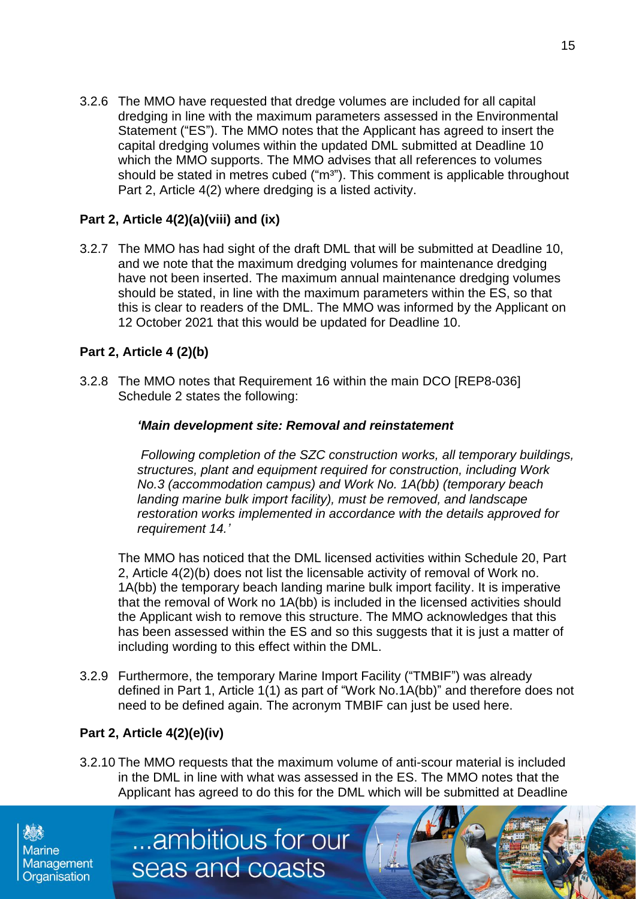3.2.6 The MMO have requested that dredge volumes are included for all capital dredging in line with the maximum parameters assessed in the Environmental Statement ("ES"). The MMO notes that the Applicant has agreed to insert the capital dredging volumes within the updated DML submitted at Deadline 10 which the MMO supports. The MMO advises that all references to volumes should be stated in metres cubed ("m<sup>3"</sup>). This comment is applicable throughout Part 2, Article 4(2) where dredging is a listed activity.

# **Part 2, Article 4(2)(a)(viii) and (ix)**

3.2.7 The MMO has had sight of the draft DML that will be submitted at Deadline 10, and we note that the maximum dredging volumes for maintenance dredging have not been inserted. The maximum annual maintenance dredging volumes should be stated, in line with the maximum parameters within the ES, so that this is clear to readers of the DML. The MMO was informed by the Applicant on 12 October 2021 that this would be updated for Deadline 10.

# **Part 2, Article 4 (2)(b)**

3.2.8 The MMO notes that Requirement 16 within the main DCO [REP8-036] Schedule 2 states the following:

#### *'Main development site: Removal and reinstatement*

*Following completion of the SZC construction works, all temporary buildings, structures, plant and equipment required for construction, including Work No.3 (accommodation campus) and Work No. 1A(bb) (temporary beach landing marine bulk import facility), must be removed, and landscape restoration works implemented in accordance with the details approved for requirement 14.'*

The MMO has noticed that the DML licensed activities within Schedule 20, Part 2, Article 4(2)(b) does not list the licensable activity of removal of Work no. 1A(bb) the temporary beach landing marine bulk import facility. It is imperative that the removal of Work no 1A(bb) is included in the licensed activities should the Applicant wish to remove this structure. The MMO acknowledges that this has been assessed within the ES and so this suggests that it is just a matter of including wording to this effect within the DML.

3.2.9 Furthermore, the temporary Marine Import Facility ("TMBIF") was already defined in Part 1, Article 1(1) as part of "Work No.1A(bb)" and therefore does not need to be defined again. The acronym TMBIF can just be used here.

# **Part 2, Article 4(2)(e)(iv)**

3.2.10 The MMO requests that the maximum volume of anti-scour material is included in the DML in line with what was assessed in the ES. The MMO notes that the Applicant has agreed to do this for the DML which will be submitted at Deadline

...ambitious for our

seas and coasts

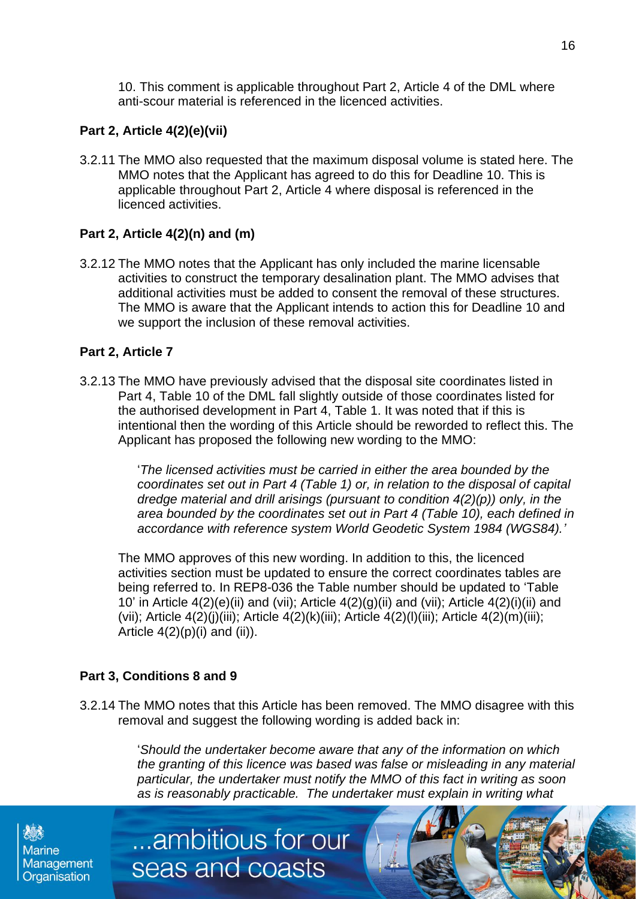10. This comment is applicable throughout Part 2, Article 4 of the DML where anti-scour material is referenced in the licenced activities.

# **Part 2, Article 4(2)(e)(vii)**

3.2.11 The MMO also requested that the maximum disposal volume is stated here. The MMO notes that the Applicant has agreed to do this for Deadline 10. This is applicable throughout Part 2, Article 4 where disposal is referenced in the licenced activities.

# **Part 2, Article 4(2)(n) and (m)**

3.2.12 The MMO notes that the Applicant has only included the marine licensable activities to construct the temporary desalination plant. The MMO advises that additional activities must be added to consent the removal of these structures. The MMO is aware that the Applicant intends to action this for Deadline 10 and we support the inclusion of these removal activities.

# **Part 2, Article 7**

3.2.13 The MMO have previously advised that the disposal site coordinates listed in Part 4, Table 10 of the DML fall slightly outside of those coordinates listed for the authorised development in Part 4, Table 1. It was noted that if this is intentional then the wording of this Article should be reworded to reflect this. The Applicant has proposed the following new wording to the MMO:

> '*The licensed activities must be carried in either the area bounded by the coordinates set out in Part 4 (Table 1) or, in relation to the disposal of capital dredge material and drill arisings (pursuant to condition 4(2)(p)) only, in the area bounded by the coordinates set out in Part 4 (Table 10), each defined in accordance with reference system World Geodetic System 1984 (WGS84).'*

The MMO approves of this new wording. In addition to this, the licenced activities section must be updated to ensure the correct coordinates tables are being referred to. In REP8-036 the Table number should be updated to 'Table 10' in Article  $4(2)(e)$ (ii) and (vii); Article  $4(2)(g)$ (ii) and (vii); Article  $4(2)(i)$ (ii) and (vii); Article  $4(2)(i)(iii)$ ; Article  $4(2)(k)(iii)$ ; Article  $4(2)(l)(iii)$ ; Article  $4(2)(m)(iii)$ ; Article  $4(2)(p)(i)$  and  $(ii)$ ).

# **Part 3, Conditions 8 and 9**

3.2.14 The MMO notes that this Article has been removed. The MMO disagree with this removal and suggest the following wording is added back in:

...ambitious for our

seas and coasts

'*Should the undertaker become aware that any of the information on which the granting of this licence was based was false or misleading in any material particular, the undertaker must notify the MMO of this fact in writing as soon as is reasonably practicable. The undertaker must explain in writing what* 

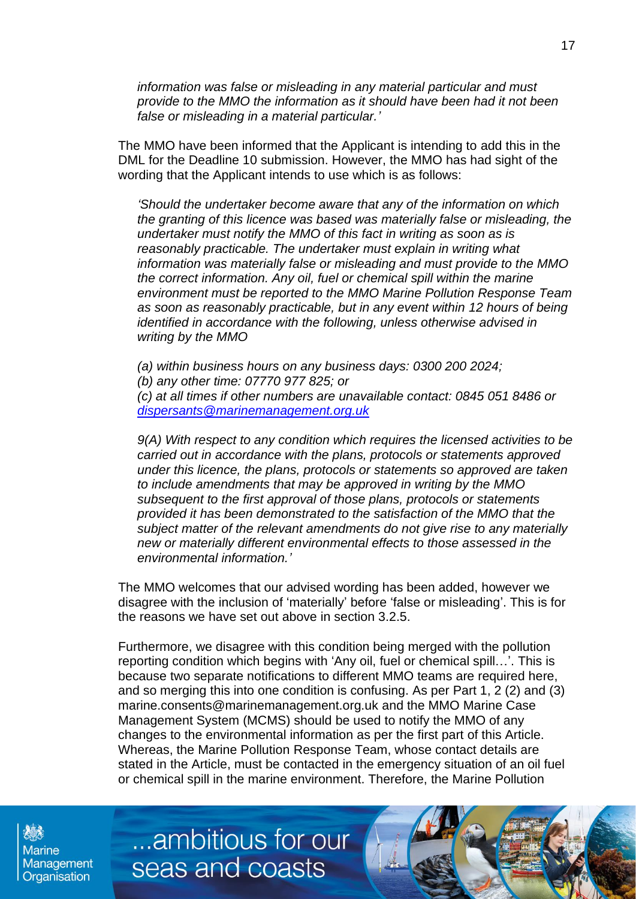*information was false or misleading in any material particular and must provide to the MMO the information as it should have been had it not been false or misleading in a material particular.'*

The MMO have been informed that the Applicant is intending to add this in the DML for the Deadline 10 submission. However, the MMO has had sight of the wording that the Applicant intends to use which is as follows:

*'Should the undertaker become aware that any of the information on which the granting of this licence was based was materially false or misleading, the undertaker must notify the MMO of this fact in writing as soon as is reasonably practicable. The undertaker must explain in writing what information was materially false or misleading and must provide to the MMO the correct information. Any oil, fuel or chemical spill within the marine environment must be reported to the MMO Marine Pollution Response Team as soon as reasonably practicable, but in any event within 12 hours of being identified in accordance with the following, unless otherwise advised in writing by the MMO*

*(a) within business hours on any business days: 0300 200 2024; (b) any other time: 07770 977 825; or (c) at all times if other numbers are unavailable contact: 0845 051 8486 or [dispersants@marinemanagement.org.uk](mailto:dispersants@marinemanagement.org.uk)*

*9(A) With respect to any condition which requires the licensed activities to be carried out in accordance with the plans, protocols or statements approved under this licence, the plans, protocols or statements so approved are taken to include amendments that may be approved in writing by the MMO subsequent to the first approval of those plans, protocols or statements provided it has been demonstrated to the satisfaction of the MMO that the subject matter of the relevant amendments do not give rise to any materially new or materially different environmental effects to those assessed in the environmental information.'*

The MMO welcomes that our advised wording has been added, however we disagree with the inclusion of 'materially' before 'false or misleading'. This is for the reasons we have set out above in section 3.2.5.

Furthermore, we disagree with this condition being merged with the pollution reporting condition which begins with 'Any oil, fuel or chemical spill…'. This is because two separate notifications to different MMO teams are required here, and so merging this into one condition is confusing. As per Part 1, 2 (2) and (3) marine.consents@marinemanagement.org.uk and the MMO Marine Case Management System (MCMS) should be used to notify the MMO of any changes to the environmental information as per the first part of this Article. Whereas, the Marine Pollution Response Team, whose contact details are stated in the Article, must be contacted in the emergency situation of an oil fuel or chemical spill in the marine environment. Therefore, the Marine Pollution

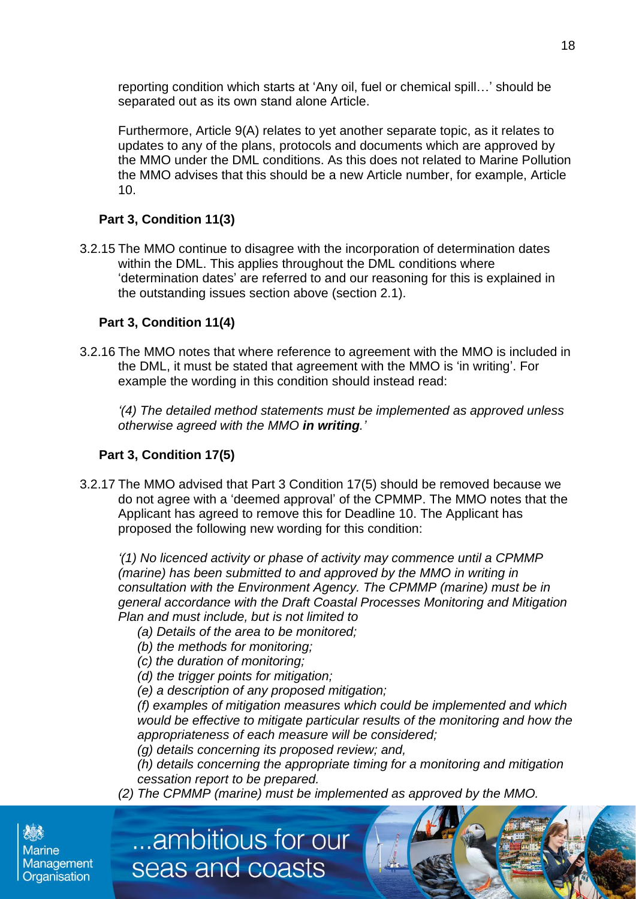reporting condition which starts at 'Any oil, fuel or chemical spill…' should be separated out as its own stand alone Article.

Furthermore, Article 9(A) relates to yet another separate topic, as it relates to updates to any of the plans, protocols and documents which are approved by the MMO under the DML conditions. As this does not related to Marine Pollution the MMO advises that this should be a new Article number, for example, Article 10.

# **Part 3, Condition 11(3)**

3.2.15 The MMO continue to disagree with the incorporation of determination dates within the DML. This applies throughout the DML conditions where 'determination dates' are referred to and our reasoning for this is explained in the outstanding issues section above (section 2.1).

# **Part 3, Condition 11(4)**

3.2.16 The MMO notes that where reference to agreement with the MMO is included in the DML, it must be stated that agreement with the MMO is 'in writing'. For example the wording in this condition should instead read:

*'(4) The detailed method statements must be implemented as approved unless otherwise agreed with the MMO in writing.'*

#### **Part 3, Condition 17(5)**

3.2.17 The MMO advised that Part 3 Condition 17(5) should be removed because we do not agree with a 'deemed approval' of the CPMMP. The MMO notes that the Applicant has agreed to remove this for Deadline 10. The Applicant has proposed the following new wording for this condition:

*'(1) No licenced activity or phase of activity may commence until a CPMMP (marine) has been submitted to and approved by the MMO in writing in consultation with the Environment Agency. The CPMMP (marine) must be in general accordance with the Draft Coastal Processes Monitoring and Mitigation Plan and must include, but is not limited to*

- *(a) Details of the area to be monitored;*
- *(b) the methods for monitoring;*
- *(c) the duration of monitoring;*
- *(d) the trigger points for mitigation;*

...ambitious for our

seas and coasts

*(e) a description of any proposed mitigation;*

*(f) examples of mitigation measures which could be implemented and which would be effective to mitigate particular results of the monitoring and how the appropriateness of each measure will be considered;*

*(g) details concerning its proposed review; and,*

*(h) details concerning the appropriate timing for a monitoring and mitigation cessation report to be prepared.*

*(2) The CPMMP (marine) must be implemented as approved by the MMO.*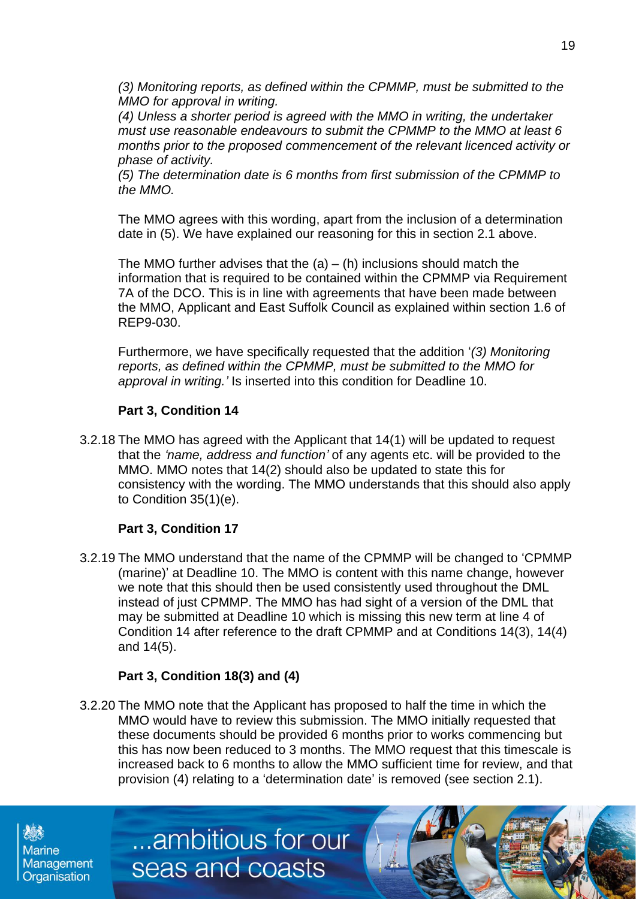*(3) Monitoring reports, as defined within the CPMMP, must be submitted to the MMO for approval in writing.*

*(4) Unless a shorter period is agreed with the MMO in writing, the undertaker must use reasonable endeavours to submit the CPMMP to the MMO at least 6 months prior to the proposed commencement of the relevant licenced activity or phase of activity.*

*(5) The determination date is 6 months from first submission of the CPMMP to the MMO.*

The MMO agrees with this wording, apart from the inclusion of a determination date in (5). We have explained our reasoning for this in section 2.1 above.

The MMO further advises that the  $(a) - (h)$  inclusions should match the information that is required to be contained within the CPMMP via Requirement 7A of the DCO. This is in line with agreements that have been made between the MMO, Applicant and East Suffolk Council as explained within section 1.6 of REP9-030.

Furthermore, we have specifically requested that the addition '*(3) Monitoring reports, as defined within the CPMMP, must be submitted to the MMO for approval in writing.'* Is inserted into this condition for Deadline 10.

# **Part 3, Condition 14**

3.2.18 The MMO has agreed with the Applicant that 14(1) will be updated to request that the *'name, address and function'* of any agents etc. will be provided to the MMO. MMO notes that 14(2) should also be updated to state this for consistency with the wording. The MMO understands that this should also apply to Condition 35(1)(e).

# **Part 3, Condition 17**

3.2.19 The MMO understand that the name of the CPMMP will be changed to 'CPMMP (marine)' at Deadline 10. The MMO is content with this name change, however we note that this should then be used consistently used throughout the DML instead of just CPMMP. The MMO has had sight of a version of the DML that may be submitted at Deadline 10 which is missing this new term at line 4 of Condition 14 after reference to the draft CPMMP and at Conditions 14(3), 14(4) and 14(5).

# **Part 3, Condition 18(3) and (4)**

3.2.20 The MMO note that the Applicant has proposed to half the time in which the MMO would have to review this submission. The MMO initially requested that these documents should be provided 6 months prior to works commencing but this has now been reduced to 3 months. The MMO request that this timescale is increased back to 6 months to allow the MMO sufficient time for review, and that provision (4) relating to a 'determination date' is removed (see section 2.1).

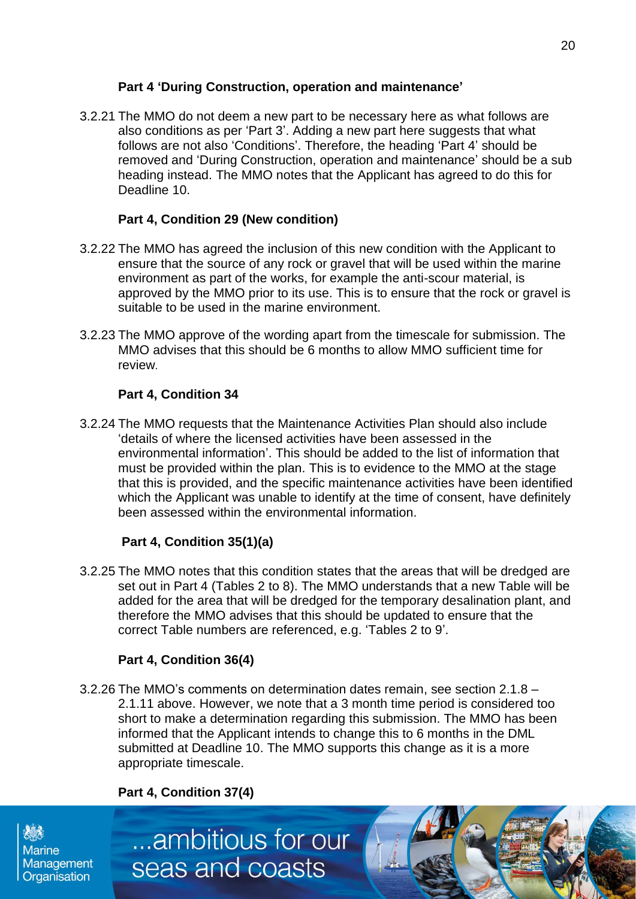#### **Part 4 'During Construction, operation and maintenance'**

3.2.21 The MMO do not deem a new part to be necessary here as what follows are also conditions as per 'Part 3'. Adding a new part here suggests that what follows are not also 'Conditions'. Therefore, the heading 'Part 4' should be removed and 'During Construction, operation and maintenance' should be a sub heading instead. The MMO notes that the Applicant has agreed to do this for Deadline 10.

#### **Part 4, Condition 29 (New condition)**

- 3.2.22 The MMO has agreed the inclusion of this new condition with the Applicant to ensure that the source of any rock or gravel that will be used within the marine environment as part of the works, for example the anti-scour material, is approved by the MMO prior to its use. This is to ensure that the rock or gravel is suitable to be used in the marine environment.
- 3.2.23 The MMO approve of the wording apart from the timescale for submission. The MMO advises that this should be 6 months to allow MMO sufficient time for review.

#### **Part 4, Condition 34**

3.2.24 The MMO requests that the Maintenance Activities Plan should also include 'details of where the licensed activities have been assessed in the environmental information'. This should be added to the list of information that must be provided within the plan. This is to evidence to the MMO at the stage that this is provided, and the specific maintenance activities have been identified which the Applicant was unable to identify at the time of consent, have definitely been assessed within the environmental information.

# **Part 4, Condition 35(1)(a)**

3.2.25 The MMO notes that this condition states that the areas that will be dredged are set out in Part 4 (Tables 2 to 8). The MMO understands that a new Table will be added for the area that will be dredged for the temporary desalination plant, and therefore the MMO advises that this should be updated to ensure that the correct Table numbers are referenced, e.g. 'Tables 2 to 9'.

# **Part 4, Condition 36(4)**

3.2.26 The MMO's comments on determination dates remain, see section 2.1.8 – 2.1.11 above. However, we note that a 3 month time period is considered too short to make a determination regarding this submission. The MMO has been informed that the Applicant intends to change this to 6 months in the DML submitted at Deadline 10. The MMO supports this change as it is a more appropriate timescale.

# **Part 4, Condition 37(4)**

**Marine** Management Organisation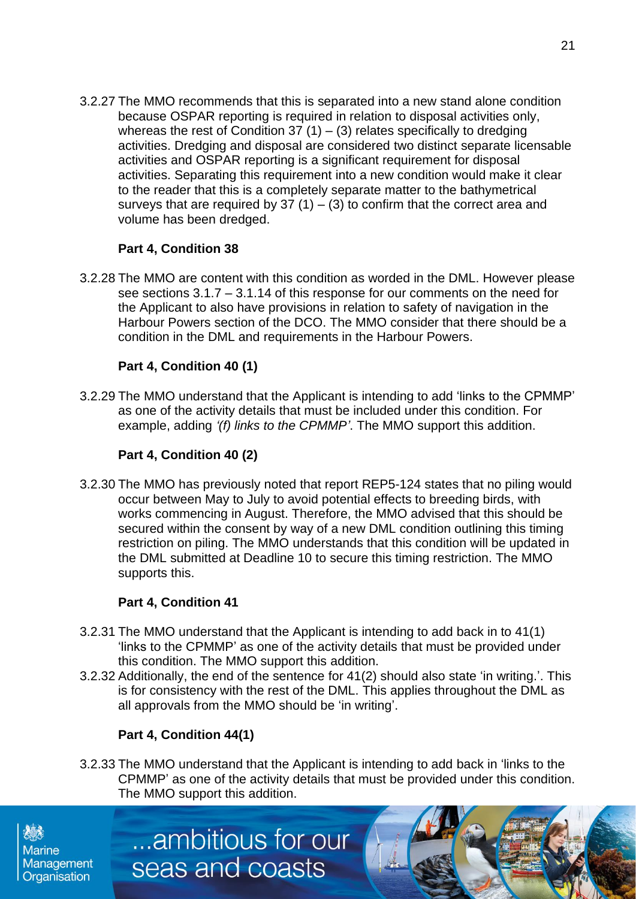3.2.27 The MMO recommends that this is separated into a new stand alone condition because OSPAR reporting is required in relation to disposal activities only, whereas the rest of Condition 37 (1) – (3) relates specifically to dredging activities. Dredging and disposal are considered two distinct separate licensable activities and OSPAR reporting is a significant requirement for disposal activities. Separating this requirement into a new condition would make it clear to the reader that this is a completely separate matter to the bathymetrical surveys that are required by 37  $(1) - (3)$  to confirm that the correct area and volume has been dredged.

# **Part 4, Condition 38**

3.2.28 The MMO are content with this condition as worded in the DML. However please see sections 3.1.7 – 3.1.14 of this response for our comments on the need for the Applicant to also have provisions in relation to safety of navigation in the Harbour Powers section of the DCO. The MMO consider that there should be a condition in the DML and requirements in the Harbour Powers.

# **Part 4, Condition 40 (1)**

3.2.29 The MMO understand that the Applicant is intending to add 'links to the CPMMP' as one of the activity details that must be included under this condition. For example, adding *'(f) links to the CPMMP'*. The MMO support this addition.

# **Part 4, Condition 40 (2)**

3.2.30 The MMO has previously noted that report REP5-124 states that no piling would occur between May to July to avoid potential effects to breeding birds, with works commencing in August. Therefore, the MMO advised that this should be secured within the consent by way of a new DML condition outlining this timing restriction on piling. The MMO understands that this condition will be updated in the DML submitted at Deadline 10 to secure this timing restriction. The MMO supports this.

# **Part 4, Condition 41**

- 3.2.31 The MMO understand that the Applicant is intending to add back in to 41(1) 'links to the CPMMP' as one of the activity details that must be provided under this condition. The MMO support this addition.
- 3.2.32 Additionally, the end of the sentence for 41(2) should also state 'in writing.'. This is for consistency with the rest of the DML. This applies throughout the DML as all approvals from the MMO should be 'in writing'.

# **Part 4, Condition 44(1)**

...ambitious for our

seas and coasts

3.2.33 The MMO understand that the Applicant is intending to add back in 'links to the CPMMP' as one of the activity details that must be provided under this condition. The MMO support this addition.

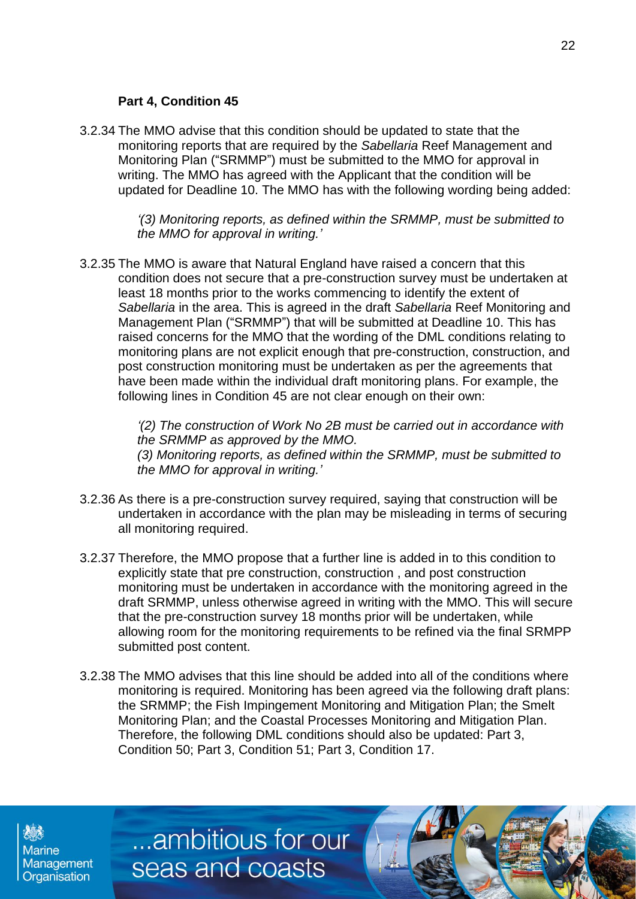#### **Part 4, Condition 45**

3.2.34 The MMO advise that this condition should be updated to state that the monitoring reports that are required by the *Sabellaria* Reef Management and Monitoring Plan ("SRMMP") must be submitted to the MMO for approval in writing. The MMO has agreed with the Applicant that the condition will be updated for Deadline 10. The MMO has with the following wording being added:

> *'(3) Monitoring reports, as defined within the SRMMP, must be submitted to the MMO for approval in writing.'*

3.2.35 The MMO is aware that Natural England have raised a concern that this condition does not secure that a pre-construction survey must be undertaken at least 18 months prior to the works commencing to identify the extent of *Sabellaria* in the area. This is agreed in the draft *Sabellaria* Reef Monitoring and Management Plan ("SRMMP") that will be submitted at Deadline 10. This has raised concerns for the MMO that the wording of the DML conditions relating to monitoring plans are not explicit enough that pre-construction, construction, and post construction monitoring must be undertaken as per the agreements that have been made within the individual draft monitoring plans. For example, the following lines in Condition 45 are not clear enough on their own:

> *'(2) The construction of Work No 2B must be carried out in accordance with the SRMMP as approved by the MMO. (3) Monitoring reports, as defined within the SRMMP, must be submitted to the MMO for approval in writing.'*

- 3.2.36 As there is a pre-construction survey required, saying that construction will be undertaken in accordance with the plan may be misleading in terms of securing all monitoring required.
- 3.2.37 Therefore, the MMO propose that a further line is added in to this condition to explicitly state that pre construction, construction , and post construction monitoring must be undertaken in accordance with the monitoring agreed in the draft SRMMP, unless otherwise agreed in writing with the MMO. This will secure that the pre-construction survey 18 months prior will be undertaken, while allowing room for the monitoring requirements to be refined via the final SRMPP submitted post content.
- 3.2.38 The MMO advises that this line should be added into all of the conditions where monitoring is required. Monitoring has been agreed via the following draft plans: the SRMMP; the Fish Impingement Monitoring and Mitigation Plan; the Smelt Monitoring Plan; and the Coastal Processes Monitoring and Mitigation Plan. Therefore, the following DML conditions should also be updated: Part 3, Condition 50; Part 3, Condition 51; Part 3, Condition 17.

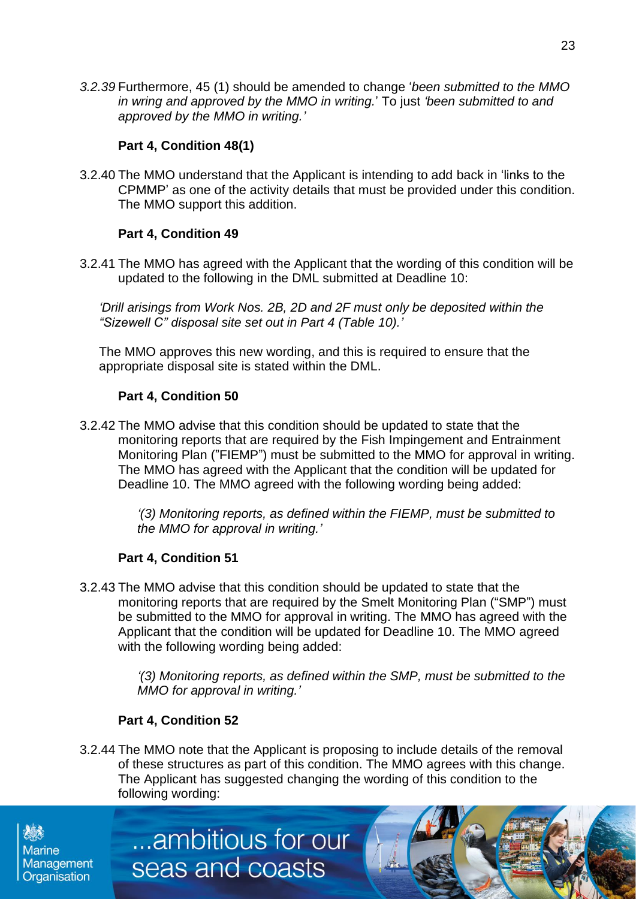*3.2.39* Furthermore, 45 (1) should be amended to change '*been submitted to the MMO in wring and approved by the MMO in writing.*' To just *'been submitted to and approved by the MMO in writing.'*

# **Part 4, Condition 48(1)**

3.2.40 The MMO understand that the Applicant is intending to add back in 'links to the CPMMP' as one of the activity details that must be provided under this condition. The MMO support this addition.

# **Part 4, Condition 49**

3.2.41 The MMO has agreed with the Applicant that the wording of this condition will be updated to the following in the DML submitted at Deadline 10:

*'Drill arisings from Work Nos. 2B, 2D and 2F must only be deposited within the "Sizewell C" disposal site set out in Part 4 (Table 10).'*

The MMO approves this new wording, and this is required to ensure that the appropriate disposal site is stated within the DML.

# **Part 4, Condition 50**

3.2.42 The MMO advise that this condition should be updated to state that the monitoring reports that are required by the Fish Impingement and Entrainment Monitoring Plan ("FIEMP") must be submitted to the MMO for approval in writing. The MMO has agreed with the Applicant that the condition will be updated for Deadline 10. The MMO agreed with the following wording being added:

> *'(3) Monitoring reports, as defined within the FIEMP, must be submitted to the MMO for approval in writing.'*

# **Part 4, Condition 51**

3.2.43 The MMO advise that this condition should be updated to state that the monitoring reports that are required by the Smelt Monitoring Plan ("SMP") must be submitted to the MMO for approval in writing. The MMO has agreed with the Applicant that the condition will be updated for Deadline 10. The MMO agreed with the following wording being added:

> *'(3) Monitoring reports, as defined within the SMP, must be submitted to the MMO for approval in writing.'*

# **Part 4, Condition 52**

3.2.44 The MMO note that the Applicant is proposing to include details of the removal of these structures as part of this condition. The MMO agrees with this change. The Applicant has suggested changing the wording of this condition to the following wording: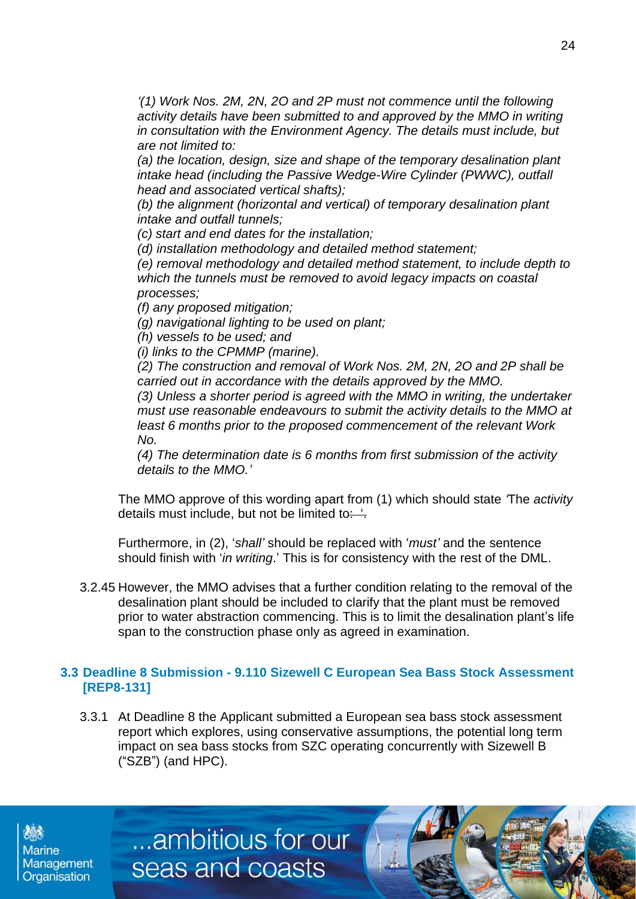*'(1) Work Nos. 2M, 2N, 2O and 2P must not commence until the following activity details have been submitted to and approved by the MMO in writing in consultation with the Environment Agency. The details must include, but are not limited to:*

*(a) the location, design, size and shape of the temporary desalination plant intake head (including the Passive Wedge-Wire Cylinder (PWWC), outfall head and associated vertical shafts);*

*(b) the alignment (horizontal and vertical) of temporary desalination plant intake and outfall tunnels;*

*(c) start and end dates for the installation;*

*(d) installation methodology and detailed method statement;*

*(e) removal methodology and detailed method statement, to include depth to which the tunnels must be removed to avoid legacy impacts on coastal processes;*

*(f) any proposed mitigation;*

*(g) navigational lighting to be used on plant;*

*(h) vessels to be used; and*

*(i) links to the CPMMP (marine).*

*(2) The construction and removal of Work Nos. 2M, 2N, 2O and 2P shall be carried out in accordance with the details approved by the MMO.*

*(3) Unless a shorter period is agreed with the MMO in writing, the undertaker must use reasonable endeavours to submit the activity details to the MMO at least 6 months prior to the proposed commencement of the relevant Work No.*

*(4) The determination date is 6 months from first submission of the activity details to the MMO.'*

The MMO approve of this wording apart from (1) which should state *'*The *activity* details must include, but not be limited to:  $\frac{1}{1}$ .

Furthermore, in (2), '*shall'* should be replaced with '*must'* and the sentence should finish with '*in writing*.' This is for consistency with the rest of the DML.

3.2.45 However, the MMO advises that a further condition relating to the removal of the desalination plant should be included to clarify that the plant must be removed prior to water abstraction commencing. This is to limit the desalination plant's life span to the construction phase only as agreed in examination.

#### **3.3 Deadline 8 Submission - 9.110 Sizewell C European Sea Bass Stock Assessment [REP8-131]**

3.3.1 At Deadline 8 the Applicant submitted a European sea bass stock assessment report which explores, using conservative assumptions, the potential long term impact on sea bass stocks from SZC operating concurrently with Sizewell B ("SZB") (and HPC).

**Marine** Management Organisation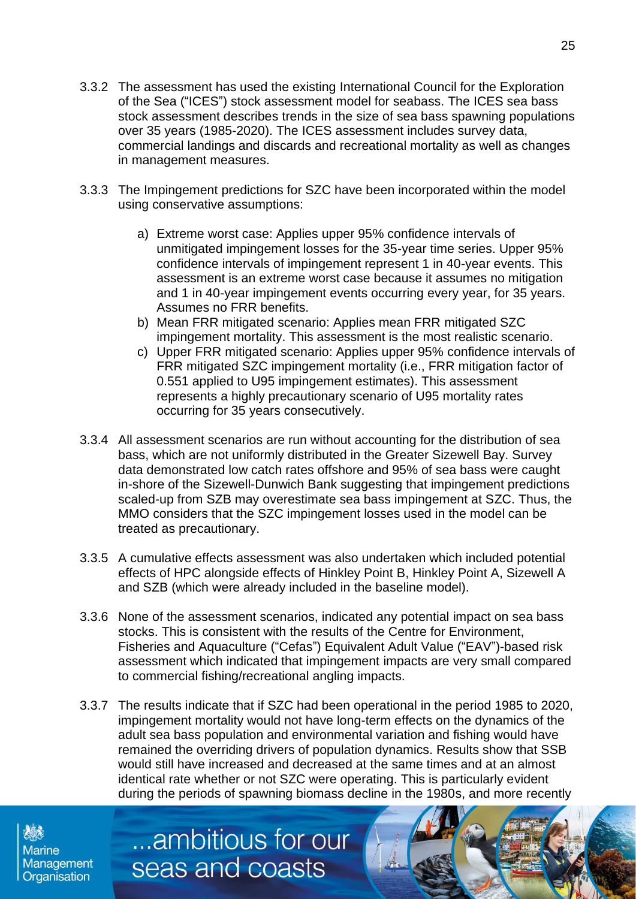- 3.3.2 The assessment has used the existing International Council for the Exploration of the Sea ("ICES") stock assessment model for seabass. The ICES sea bass stock assessment describes trends in the size of sea bass spawning populations over 35 years (1985-2020). The ICES assessment includes survey data, commercial landings and discards and recreational mortality as well as changes in management measures.
- 3.3.3 The Impingement predictions for SZC have been incorporated within the model using conservative assumptions:
	- a) Extreme worst case: Applies upper 95% confidence intervals of unmitigated impingement losses for the 35-year time series. Upper 95% confidence intervals of impingement represent 1 in 40-year events. This assessment is an extreme worst case because it assumes no mitigation and 1 in 40-year impingement events occurring every year, for 35 years. Assumes no FRR benefits.
	- b) Mean FRR mitigated scenario: Applies mean FRR mitigated SZC impingement mortality. This assessment is the most realistic scenario.
	- c) Upper FRR mitigated scenario: Applies upper 95% confidence intervals of FRR mitigated SZC impingement mortality (i.e., FRR mitigation factor of 0.551 applied to U95 impingement estimates). This assessment represents a highly precautionary scenario of U95 mortality rates occurring for 35 years consecutively.
- 3.3.4 All assessment scenarios are run without accounting for the distribution of sea bass, which are not uniformly distributed in the Greater Sizewell Bay. Survey data demonstrated low catch rates offshore and 95% of sea bass were caught in-shore of the Sizewell-Dunwich Bank suggesting that impingement predictions scaled-up from SZB may overestimate sea bass impingement at SZC. Thus, the MMO considers that the SZC impingement losses used in the model can be treated as precautionary.
- 3.3.5 A cumulative effects assessment was also undertaken which included potential effects of HPC alongside effects of Hinkley Point B, Hinkley Point A, Sizewell A and SZB (which were already included in the baseline model).
- 3.3.6 None of the assessment scenarios, indicated any potential impact on sea bass stocks. This is consistent with the results of the Centre for Environment, Fisheries and Aquaculture ("Cefas") Equivalent Adult Value ("EAV")-based risk assessment which indicated that impingement impacts are very small compared to commercial fishing/recreational angling impacts.
- 3.3.7 The results indicate that if SZC had been operational in the period 1985 to 2020, impingement mortality would not have long-term effects on the dynamics of the adult sea bass population and environmental variation and fishing would have remained the overriding drivers of population dynamics. Results show that SSB would still have increased and decreased at the same times and at an almost identical rate whether or not SZC were operating. This is particularly evident during the periods of spawning biomass decline in the 1980s, and more recently

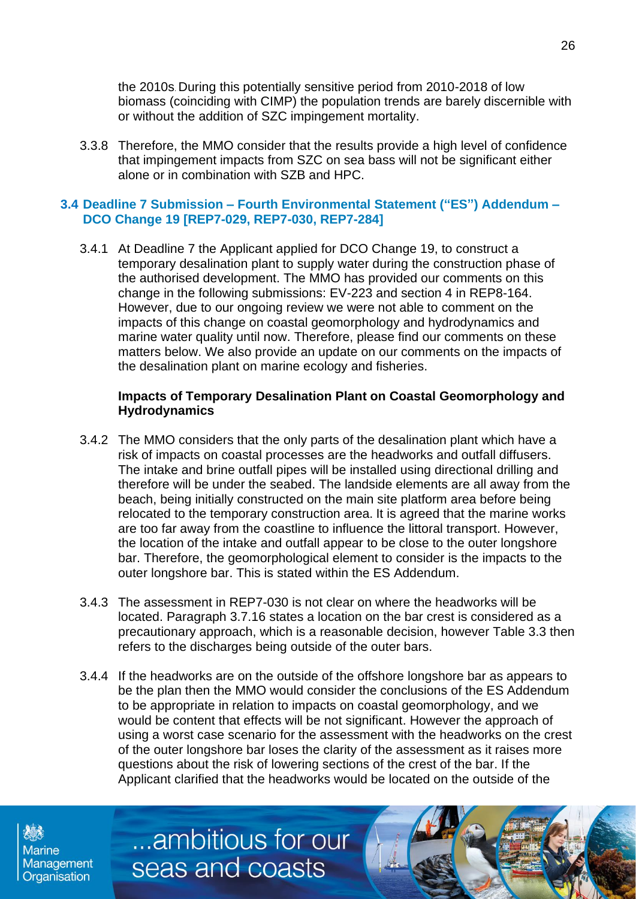the 2010s. During this potentially sensitive period from 2010-2018 of low biomass (coinciding with CIMP) the population trends are barely discernible with or without the addition of SZC impingement mortality.

3.3.8 Therefore, the MMO consider that the results provide a high level of confidence that impingement impacts from SZC on sea bass will not be significant either alone or in combination with SZB and HPC.

#### **3.4 Deadline 7 Submission – Fourth Environmental Statement ("ES") Addendum – DCO Change 19 [REP7-029, REP7-030, REP7-284]**

3.4.1 At Deadline 7 the Applicant applied for DCO Change 19, to construct a temporary desalination plant to supply water during the construction phase of the authorised development. The MMO has provided our comments on this change in the following submissions: EV-223 and section 4 in REP8-164. However, due to our ongoing review we were not able to comment on the impacts of this change on coastal geomorphology and hydrodynamics and marine water quality until now. Therefore, please find our comments on these matters below. We also provide an update on our comments on the impacts of the desalination plant on marine ecology and fisheries.

#### **Impacts of Temporary Desalination Plant on Coastal Geomorphology and Hydrodynamics**

- 3.4.2 The MMO considers that the only parts of the desalination plant which have a risk of impacts on coastal processes are the headworks and outfall diffusers. The intake and brine outfall pipes will be installed using directional drilling and therefore will be under the seabed. The landside elements are all away from the beach, being initially constructed on the main site platform area before being relocated to the temporary construction area. It is agreed that the marine works are too far away from the coastline to influence the littoral transport. However, the location of the intake and outfall appear to be close to the outer longshore bar. Therefore, the geomorphological element to consider is the impacts to the outer longshore bar. This is stated within the ES Addendum.
- 3.4.3 The assessment in REP7-030 is not clear on where the headworks will be located. Paragraph 3.7.16 states a location on the bar crest is considered as a precautionary approach, which is a reasonable decision, however Table 3.3 then refers to the discharges being outside of the outer bars.
- 3.4.4 If the headworks are on the outside of the offshore longshore bar as appears to be the plan then the MMO would consider the conclusions of the ES Addendum to be appropriate in relation to impacts on coastal geomorphology, and we would be content that effects will be not significant. However the approach of using a worst case scenario for the assessment with the headworks on the crest of the outer longshore bar loses the clarity of the assessment as it raises more questions about the risk of lowering sections of the crest of the bar. If the Applicant clarified that the headworks would be located on the outside of the

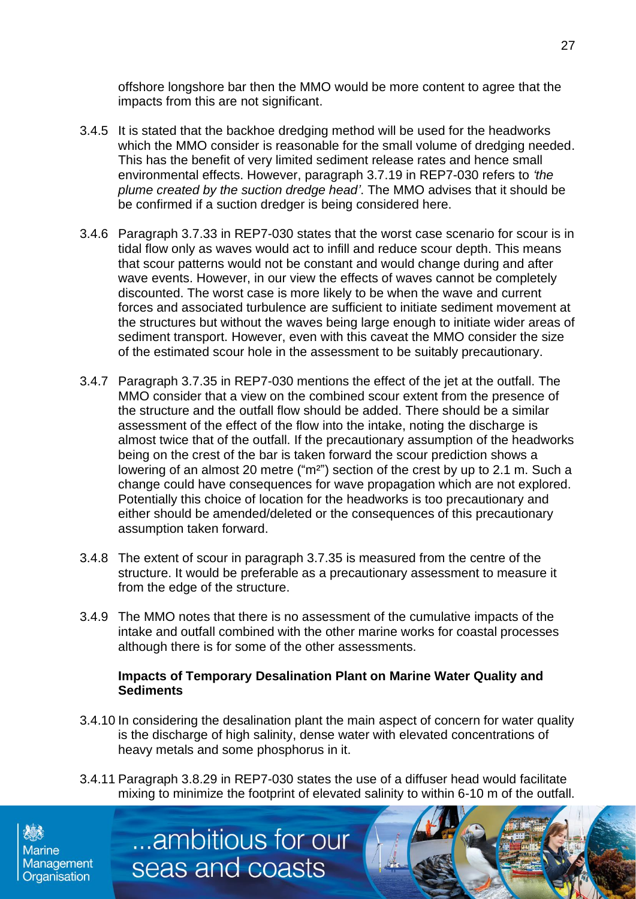offshore longshore bar then the MMO would be more content to agree that the impacts from this are not significant.

- 3.4.5 It is stated that the backhoe dredging method will be used for the headworks which the MMO consider is reasonable for the small volume of dredging needed. This has the benefit of very limited sediment release rates and hence small environmental effects. However, paragraph 3.7.19 in REP7-030 refers to *'the plume created by the suction dredge head'*. The MMO advises that it should be be confirmed if a suction dredger is being considered here.
- 3.4.6 Paragraph 3.7.33 in REP7-030 states that the worst case scenario for scour is in tidal flow only as waves would act to infill and reduce scour depth. This means that scour patterns would not be constant and would change during and after wave events. However, in our view the effects of waves cannot be completely discounted. The worst case is more likely to be when the wave and current forces and associated turbulence are sufficient to initiate sediment movement at the structures but without the waves being large enough to initiate wider areas of sediment transport. However, even with this caveat the MMO consider the size of the estimated scour hole in the assessment to be suitably precautionary.
- 3.4.7 Paragraph 3.7.35 in REP7-030 mentions the effect of the jet at the outfall. The MMO consider that a view on the combined scour extent from the presence of the structure and the outfall flow should be added. There should be a similar assessment of the effect of the flow into the intake, noting the discharge is almost twice that of the outfall. If the precautionary assumption of the headworks being on the crest of the bar is taken forward the scour prediction shows a lowering of an almost 20 metre ("m<sup>2"</sup>) section of the crest by up to 2.1 m. Such a change could have consequences for wave propagation which are not explored. Potentially this choice of location for the headworks is too precautionary and either should be amended/deleted or the consequences of this precautionary assumption taken forward.
- 3.4.8 The extent of scour in paragraph 3.7.35 is measured from the centre of the structure. It would be preferable as a precautionary assessment to measure it from the edge of the structure.
- 3.4.9 The MMO notes that there is no assessment of the cumulative impacts of the intake and outfall combined with the other marine works for coastal processes although there is for some of the other assessments.

#### **Impacts of Temporary Desalination Plant on Marine Water Quality and Sediments**

- 3.4.10 In considering the desalination plant the main aspect of concern for water quality is the discharge of high salinity, dense water with elevated concentrations of heavy metals and some phosphorus in it.
- 3.4.11 Paragraph 3.8.29 in REP7-030 states the use of a diffuser head would facilitate mixing to minimize the footprint of elevated salinity to within 6-10 m of the outfall.

...ambitious for our

seas and coasts

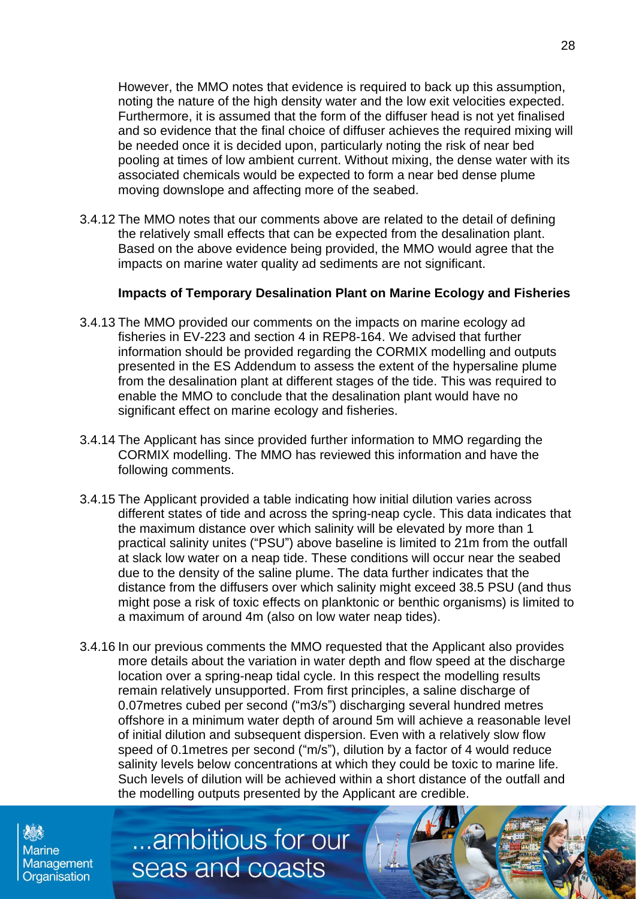However, the MMO notes that evidence is required to back up this assumption, noting the nature of the high density water and the low exit velocities expected. Furthermore, it is assumed that the form of the diffuser head is not yet finalised and so evidence that the final choice of diffuser achieves the required mixing will be needed once it is decided upon, particularly noting the risk of near bed pooling at times of low ambient current. Without mixing, the dense water with its associated chemicals would be expected to form a near bed dense plume moving downslope and affecting more of the seabed.

3.4.12 The MMO notes that our comments above are related to the detail of defining the relatively small effects that can be expected from the desalination plant. Based on the above evidence being provided, the MMO would agree that the impacts on marine water quality ad sediments are not significant.

#### **Impacts of Temporary Desalination Plant on Marine Ecology and Fisheries**

- 3.4.13 The MMO provided our comments on the impacts on marine ecology ad fisheries in EV-223 and section 4 in REP8-164. We advised that further information should be provided regarding the CORMIX modelling and outputs presented in the ES Addendum to assess the extent of the hypersaline plume from the desalination plant at different stages of the tide. This was required to enable the MMO to conclude that the desalination plant would have no significant effect on marine ecology and fisheries.
- 3.4.14 The Applicant has since provided further information to MMO regarding the CORMIX modelling. The MMO has reviewed this information and have the following comments.
- 3.4.15 The Applicant provided a table indicating how initial dilution varies across different states of tide and across the spring-neap cycle. This data indicates that the maximum distance over which salinity will be elevated by more than 1 practical salinity unites ("PSU") above baseline is limited to 21m from the outfall at slack low water on a neap tide. These conditions will occur near the seabed due to the density of the saline plume. The data further indicates that the distance from the diffusers over which salinity might exceed 38.5 PSU (and thus might pose a risk of toxic effects on planktonic or benthic organisms) is limited to a maximum of around 4m (also on low water neap tides).
- 3.4.16 In our previous comments the MMO requested that the Applicant also provides more details about the variation in water depth and flow speed at the discharge location over a spring-neap tidal cycle. In this respect the modelling results remain relatively unsupported. From first principles, a saline discharge of 0.07metres cubed per second ("m3/s") discharging several hundred metres offshore in a minimum water depth of around 5m will achieve a reasonable level of initial dilution and subsequent dispersion. Even with a relatively slow flow speed of 0.1metres per second ("m/s"), dilution by a factor of 4 would reduce salinity levels below concentrations at which they could be toxic to marine life. Such levels of dilution will be achieved within a short distance of the outfall and the modelling outputs presented by the Applicant are credible.

**Marine Management** Organisation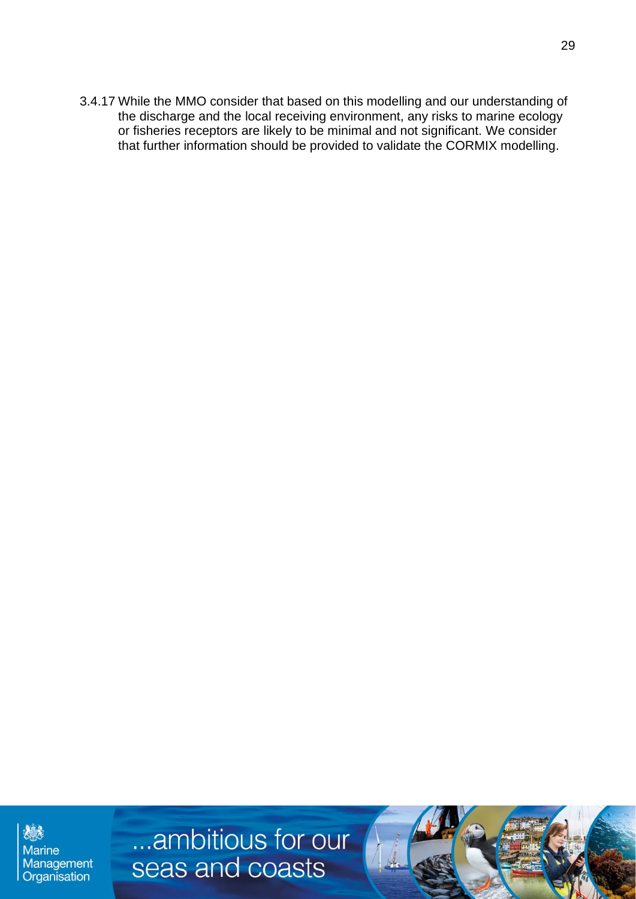3.4.17 While the MMO consider that based on this modelling and our understanding of the discharge and the local receiving environment, any risks to marine ecology or fisheries receptors are likely to be minimal and not significant. We consider that further information should be provided to validate the CORMIX modelling.

糖 **Marine** Management Organisation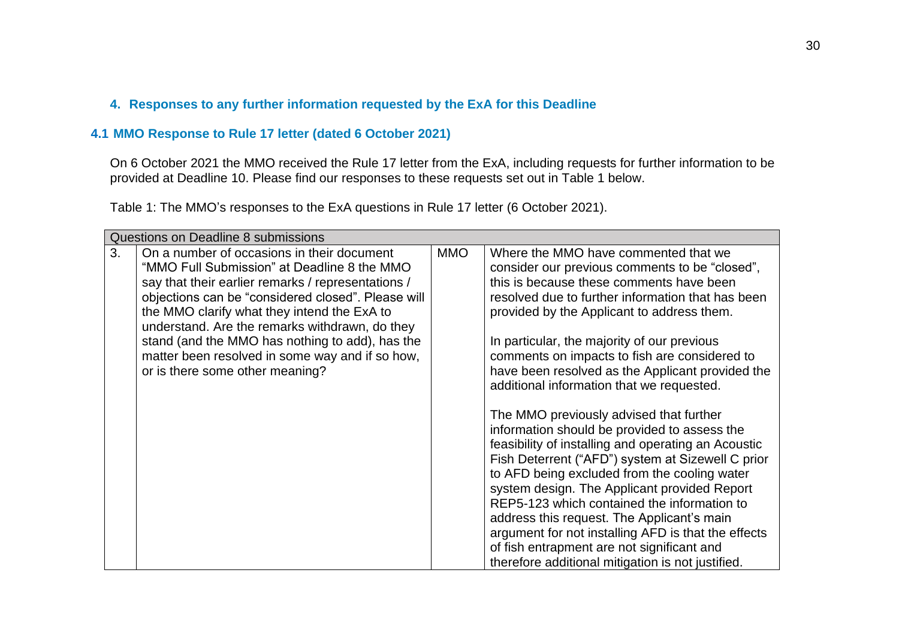#### **4. Responses to any further information requested by the ExA for this Deadline**

#### **4.1 MMO Response to Rule 17 letter (dated 6 October 2021)**

On 6 October 2021 the MMO received the Rule 17 letter from the ExA, including requests for further information to be provided at Deadline 10. Please find our responses to these requests set out in Table 1 below.

Table 1: The MMO's responses to the ExA questions in Rule 17 letter (6 October 2021).

| Questions on Deadline 8 submissions |                                                    |            |                                                     |
|-------------------------------------|----------------------------------------------------|------------|-----------------------------------------------------|
| 3.                                  | On a number of occasions in their document         | <b>MMO</b> | Where the MMO have commented that we                |
|                                     | "MMO Full Submission" at Deadline 8 the MMO        |            | consider our previous comments to be "closed",      |
|                                     | say that their earlier remarks / representations / |            | this is because these comments have been            |
|                                     | objections can be "considered closed". Please will |            | resolved due to further information that has been   |
|                                     | the MMO clarify what they intend the ExA to        |            | provided by the Applicant to address them.          |
|                                     | understand. Are the remarks withdrawn, do they     |            |                                                     |
|                                     | stand (and the MMO has nothing to add), has the    |            | In particular, the majority of our previous         |
|                                     | matter been resolved in some way and if so how,    |            | comments on impacts to fish are considered to       |
|                                     | or is there some other meaning?                    |            | have been resolved as the Applicant provided the    |
|                                     |                                                    |            | additional information that we requested.           |
|                                     |                                                    |            |                                                     |
|                                     |                                                    |            | The MMO previously advised that further             |
|                                     |                                                    |            | information should be provided to assess the        |
|                                     |                                                    |            | feasibility of installing and operating an Acoustic |
|                                     |                                                    |            | Fish Deterrent ("AFD") system at Sizewell C prior   |
|                                     |                                                    |            | to AFD being excluded from the cooling water        |
|                                     |                                                    |            | system design. The Applicant provided Report        |
|                                     |                                                    |            | REP5-123 which contained the information to         |
|                                     |                                                    |            | address this request. The Applicant's main          |
|                                     |                                                    |            | argument for not installing AFD is that the effects |
|                                     |                                                    |            | of fish entrapment are not significant and          |
|                                     |                                                    |            | therefore additional mitigation is not justified.   |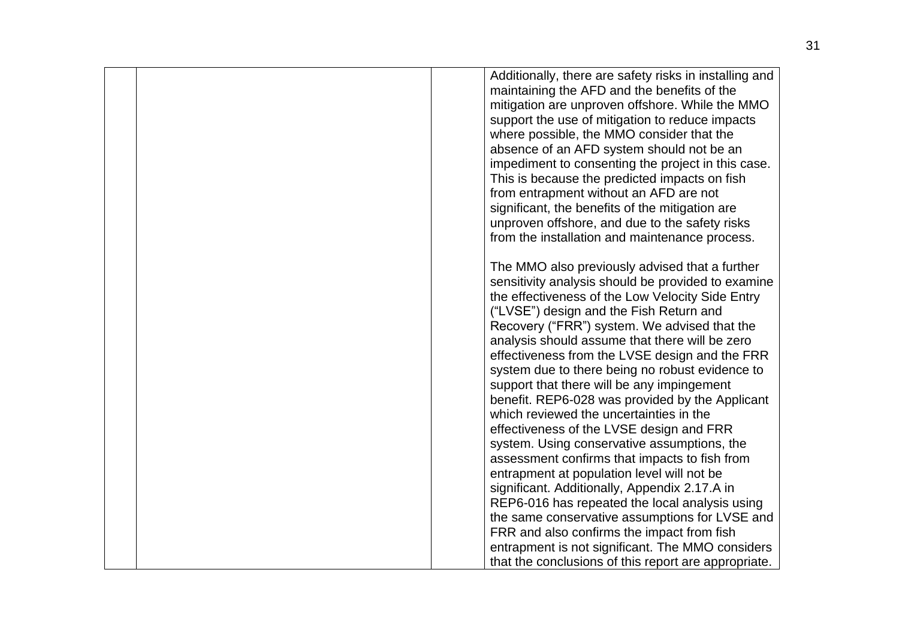|  | Additionally, there are safety risks in installing and<br>maintaining the AFD and the benefits of the<br>mitigation are unproven offshore. While the MMO<br>support the use of mitigation to reduce impacts<br>where possible, the MMO consider that the<br>absence of an AFD system should not be an<br>impediment to consenting the project in this case.<br>This is because the predicted impacts on fish<br>from entrapment without an AFD are not<br>significant, the benefits of the mitigation are<br>unproven offshore, and due to the safety risks<br>from the installation and maintenance process.                                                                                                                                                                                                                                                                                         |
|--|-------------------------------------------------------------------------------------------------------------------------------------------------------------------------------------------------------------------------------------------------------------------------------------------------------------------------------------------------------------------------------------------------------------------------------------------------------------------------------------------------------------------------------------------------------------------------------------------------------------------------------------------------------------------------------------------------------------------------------------------------------------------------------------------------------------------------------------------------------------------------------------------------------|
|  | The MMO also previously advised that a further<br>sensitivity analysis should be provided to examine<br>the effectiveness of the Low Velocity Side Entry<br>("LVSE") design and the Fish Return and<br>Recovery ("FRR") system. We advised that the<br>analysis should assume that there will be zero<br>effectiveness from the LVSE design and the FRR<br>system due to there being no robust evidence to<br>support that there will be any impingement<br>benefit. REP6-028 was provided by the Applicant<br>which reviewed the uncertainties in the<br>effectiveness of the LVSE design and FRR<br>system. Using conservative assumptions, the<br>assessment confirms that impacts to fish from<br>entrapment at population level will not be<br>significant. Additionally, Appendix 2.17.A in<br>REP6-016 has repeated the local analysis using<br>the same conservative assumptions for LVSE and |
|  | FRR and also confirms the impact from fish<br>entrapment is not significant. The MMO considers<br>that the conclusions of this report are appropriate.                                                                                                                                                                                                                                                                                                                                                                                                                                                                                                                                                                                                                                                                                                                                                |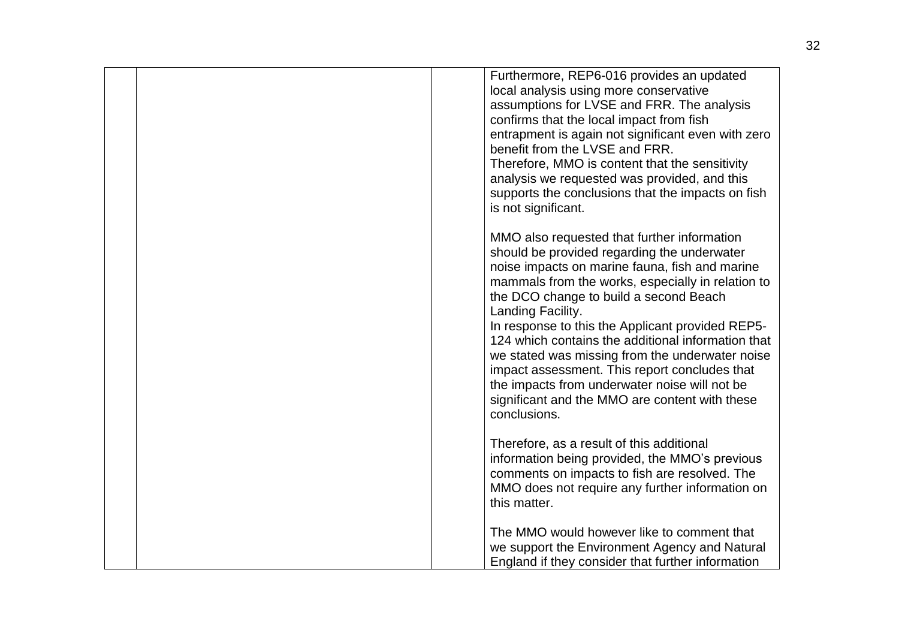|  | Furthermore, REP6-016 provides an updated<br>local analysis using more conservative<br>assumptions for LVSE and FRR. The analysis<br>confirms that the local impact from fish<br>entrapment is again not significant even with zero<br>benefit from the LVSE and FRR.<br>Therefore, MMO is content that the sensitivity<br>analysis we requested was provided, and this<br>supports the conclusions that the impacts on fish<br>is not significant.                                                                                                                                               |
|--|---------------------------------------------------------------------------------------------------------------------------------------------------------------------------------------------------------------------------------------------------------------------------------------------------------------------------------------------------------------------------------------------------------------------------------------------------------------------------------------------------------------------------------------------------------------------------------------------------|
|  | MMO also requested that further information<br>should be provided regarding the underwater<br>noise impacts on marine fauna, fish and marine<br>mammals from the works, especially in relation to<br>the DCO change to build a second Beach<br>Landing Facility.<br>In response to this the Applicant provided REP5-<br>124 which contains the additional information that<br>we stated was missing from the underwater noise<br>impact assessment. This report concludes that<br>the impacts from underwater noise will not be<br>significant and the MMO are content with these<br>conclusions. |
|  | Therefore, as a result of this additional<br>information being provided, the MMO's previous<br>comments on impacts to fish are resolved. The<br>MMO does not require any further information on<br>this matter.                                                                                                                                                                                                                                                                                                                                                                                   |
|  | The MMO would however like to comment that<br>we support the Environment Agency and Natural<br>England if they consider that further information                                                                                                                                                                                                                                                                                                                                                                                                                                                  |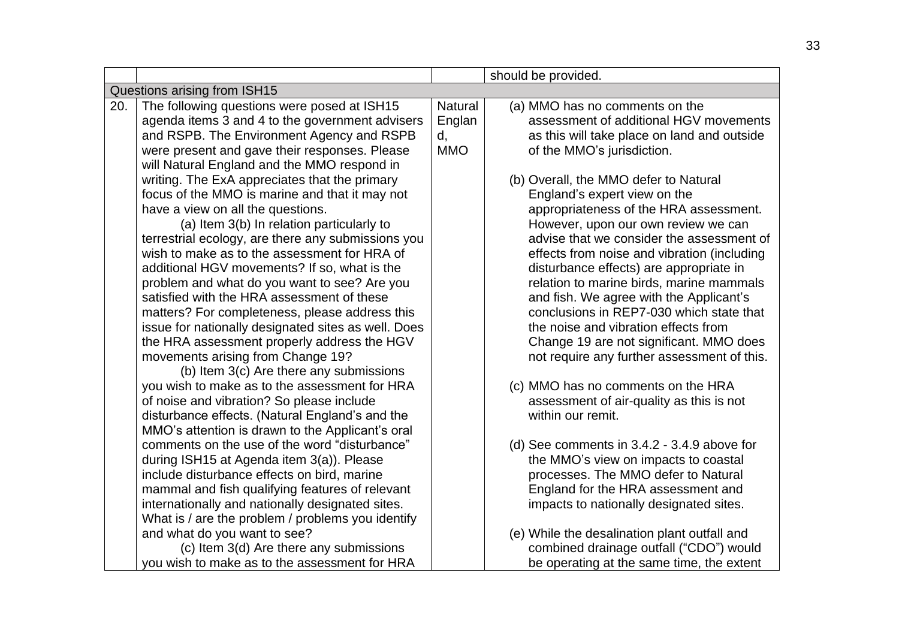|                              |                                                     |                | should be provided.                           |
|------------------------------|-----------------------------------------------------|----------------|-----------------------------------------------|
| Questions arising from ISH15 |                                                     |                |                                               |
| 20.                          | The following questions were posed at ISH15         | <b>Natural</b> | (a) MMO has no comments on the                |
|                              | agenda items 3 and 4 to the government advisers     | Englan         | assessment of additional HGV movements        |
|                              | and RSPB. The Environment Agency and RSPB           | d,             | as this will take place on land and outside   |
|                              | were present and gave their responses. Please       | <b>MMO</b>     | of the MMO's jurisdiction.                    |
|                              | will Natural England and the MMO respond in         |                |                                               |
|                              | writing. The ExA appreciates that the primary       |                | (b) Overall, the MMO defer to Natural         |
|                              | focus of the MMO is marine and that it may not      |                | England's expert view on the                  |
|                              | have a view on all the questions.                   |                | appropriateness of the HRA assessment.        |
|                              | (a) Item 3(b) In relation particularly to           |                | However, upon our own review we can           |
|                              | terrestrial ecology, are there any submissions you  |                | advise that we consider the assessment of     |
|                              | wish to make as to the assessment for HRA of        |                | effects from noise and vibration (including   |
|                              | additional HGV movements? If so, what is the        |                | disturbance effects) are appropriate in       |
|                              | problem and what do you want to see? Are you        |                | relation to marine birds, marine mammals      |
|                              | satisfied with the HRA assessment of these          |                | and fish. We agree with the Applicant's       |
|                              | matters? For completeness, please address this      |                | conclusions in REP7-030 which state that      |
|                              | issue for nationally designated sites as well. Does |                | the noise and vibration effects from          |
|                              | the HRA assessment properly address the HGV         |                | Change 19 are not significant. MMO does       |
|                              | movements arising from Change 19?                   |                | not require any further assessment of this.   |
|                              | (b) Item 3(c) Are there any submissions             |                |                                               |
|                              | you wish to make as to the assessment for HRA       |                | (c) MMO has no comments on the HRA            |
|                              | of noise and vibration? So please include           |                | assessment of air-quality as this is not      |
|                              | disturbance effects. (Natural England's and the     |                | within our remit.                             |
|                              | MMO's attention is drawn to the Applicant's oral    |                |                                               |
|                              | comments on the use of the word "disturbance"       |                | (d) See comments in $3.4.2 - 3.4.9$ above for |
|                              | during ISH15 at Agenda item 3(a)). Please           |                | the MMO's view on impacts to coastal          |
|                              | include disturbance effects on bird, marine         |                | processes. The MMO defer to Natural           |
|                              | mammal and fish qualifying features of relevant     |                | England for the HRA assessment and            |
|                              | internationally and nationally designated sites.    |                | impacts to nationally designated sites.       |
|                              | What is / are the problem / problems you identify   |                |                                               |
|                              | and what do you want to see?                        |                | (e) While the desalination plant outfall and  |
|                              | (c) Item 3(d) Are there any submissions             |                | combined drainage outfall ("CDO") would       |
|                              | you wish to make as to the assessment for HRA       |                | be operating at the same time, the extent     |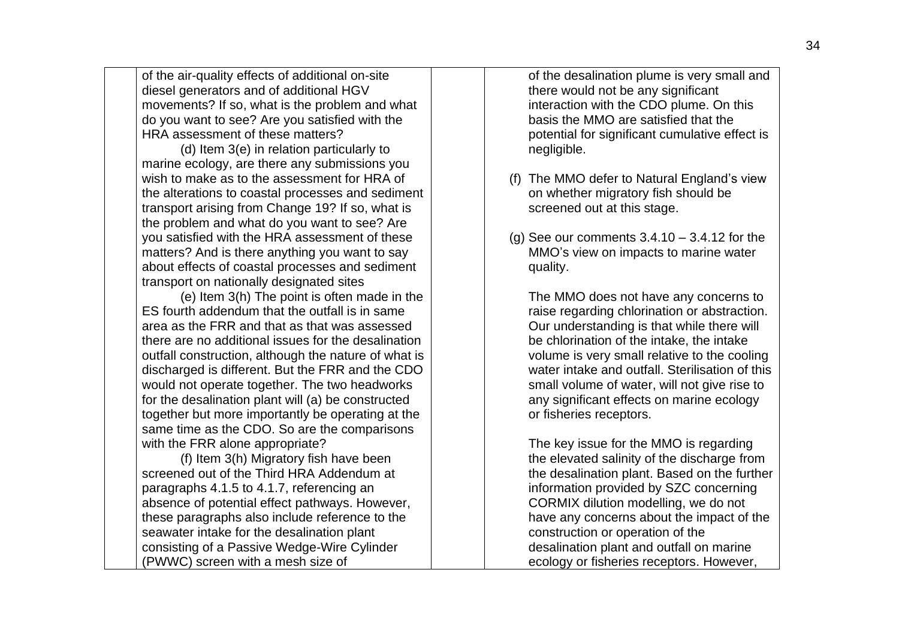of the air-quality effects of additional on-site diesel generators and of additional HGV movements? If so, what is the problem and what do you want to see? Are you satisfied with the HRA assessment of these matters?

(d) Item 3(e) in relation particularly to marine ecology, are there any submissions you wish to make as to the assessment for HRA of the alterations to coastal processes and sediment transport arising from Change 19? If so, what is the problem and what do you want to see? Are you satisfied with the HRA assessment of these matters? And is there anything you want to say about effects of coastal processes and sediment transport on nationally designated sites

(e) Item 3(h) The point is often made in the ES fourth addendum that the outfall is in same area as the FRR and that as that was assessed there are no additional issues for the desalination outfall construction, although the nature of what is discharged is different. But the FRR and the CDO would not operate together. The two headworks for the desalination plant will (a) be constructed together but more importantly be operating at the same time as the CDO. So are the comparisons with the FRR alone appropriate?

(f) Item 3(h) Migratory fish have been screened out of the Third HRA Addendum at paragraphs 4.1.5 to 4.1.7, referencing an absence of potential effect pathways. However, these paragraphs also include reference to the seawater intake for the desalination plant consisting of a Passive Wedge-Wire Cylinder (PWWC) screen with a mesh size of

of the desalination plume is very small and there would not be any significant interaction with the CDO plume. On this basis the MMO are satisfied that the potential for significant cumulative effect is negligible.

- (f) The MMO defer to Natural England's view on whether migratory fish should be screened out at this stage.
- (g) See our comments  $3.4.10 3.4.12$  for the MMO's view on impacts to marine water quality.

The MMO does not have any concerns to raise regarding chlorination or abstraction. Our understanding is that while there will be chlorination of the intake, the intake volume is very small relative to the cooling water intake and outfall. Sterilisation of this small volume of water, will not give rise to any significant effects on marine ecology or fisheries receptors.

The key issue for the MMO is regarding the elevated salinity of the discharge from the desalination plant. Based on the further information provided by SZC concerning CORMIX dilution modelling, we do not have any concerns about the impact of the construction or operation of the desalination plant and outfall on marine ecology or fisheries receptors. However,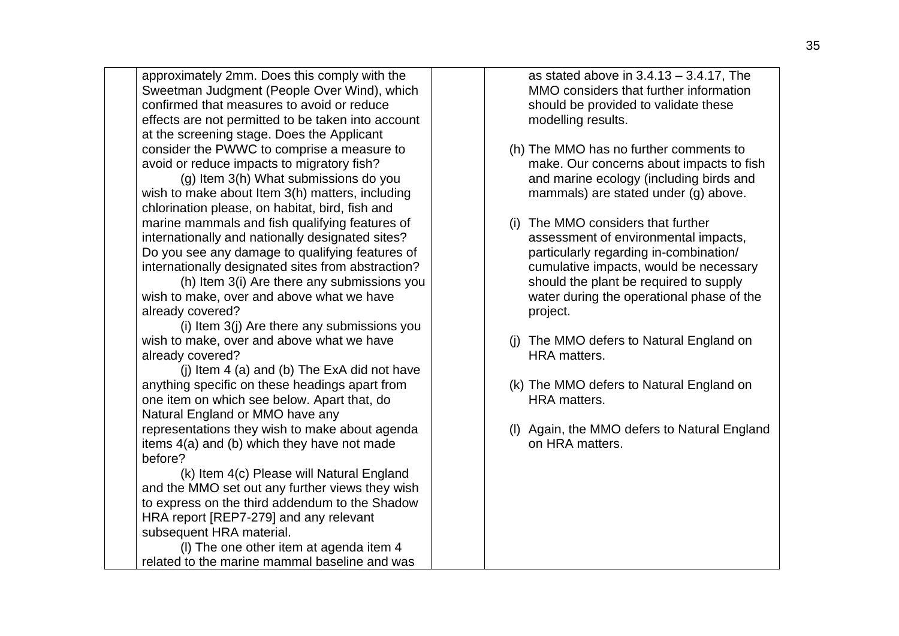approximately 2mm. Does this comply with the Sweetman Judgment (People Over Wind), which confirmed that measures to avoid or reduce effects are not permitted to be taken into account at the screening stage. Does the Applicant consider the PWWC to comprise a measure to avoid or reduce impacts to migratory fish?

(g) Item 3(h) What submissions do you wish to make about Item 3(h) matters, including chlorination please, on habitat, bird, fish and marine mammals and fish qualifying features of internationally and nationally designated sites? Do you see any damage to qualifying features of internationally designated sites from abstraction?

(h) Item 3(i) Are there any submissions you wish to make, over and above what we have already covered?

(i) Item 3(j) Are there any submissions you wish to make, over and above what we have already covered?

(j) Item 4 (a) and (b) The ExA did not have anything specific on these headings apart from one item on which see below. Apart that, do Natural England or MMO have any representations they wish to make about agenda items 4(a) and (b) which they have not made before?

(k) Item 4(c) Please will Natural England and the MMO set out any further views they wish to express on the third addendum to the Shadow HRA report [REP7-279] and any relevant subsequent HRA material.

(l) The one other item at agenda item 4 related to the marine mammal baseline and was as stated above in 3.4.13 – 3.4.17, The MMO considers that further information should be provided to validate these modelling results.

- (h) The MMO has no further comments to make. Our concerns about impacts to fish and marine ecology (including birds and mammals) are stated under (g) above.
- (i) The MMO considers that further assessment of environmental impacts, particularly regarding in-combination/ cumulative impacts, would be necessary should the plant be required to supply water during the operational phase of the project.
- (j) The MMO defers to Natural England on HRA matters.
- (k) The MMO defers to Natural England on HRA matters.
- (l) Again, the MMO defers to Natural England on HRA matters.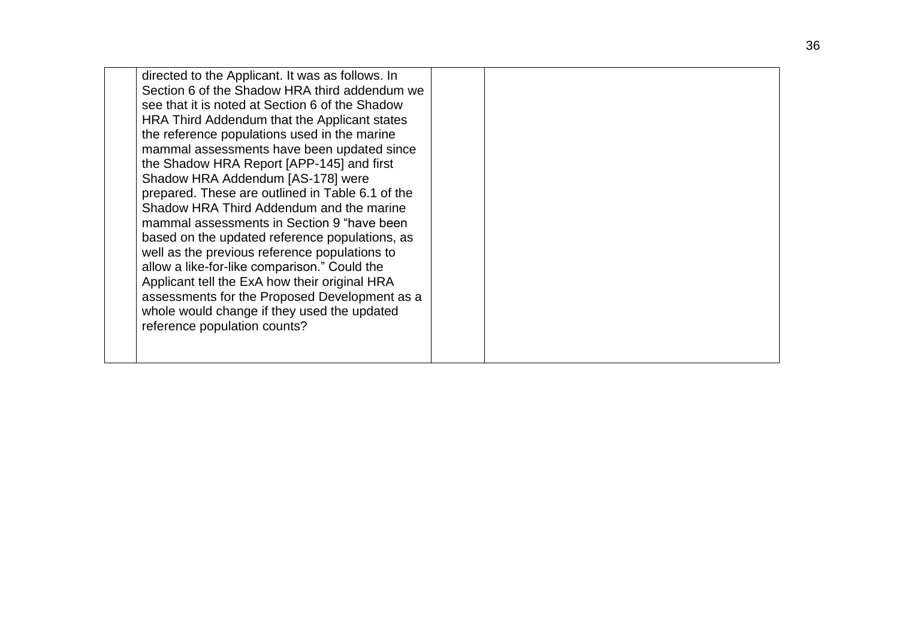| directed to the Applicant. It was as follows. In<br>Section 6 of the Shadow HRA third addendum we<br>see that it is noted at Section 6 of the Shadow<br>HRA Third Addendum that the Applicant states<br>the reference populations used in the marine<br>mammal assessments have been updated since<br>the Shadow HRA Report [APP-145] and first<br>Shadow HRA Addendum [AS-178] were<br>prepared. These are outlined in Table 6.1 of the<br>Shadow HRA Third Addendum and the marine<br>mammal assessments in Section 9 "have been<br>based on the updated reference populations, as<br>well as the previous reference populations to<br>allow a like-for-like comparison." Could the<br>Applicant tell the ExA how their original HRA<br>assessments for the Proposed Development as a |  |
|-----------------------------------------------------------------------------------------------------------------------------------------------------------------------------------------------------------------------------------------------------------------------------------------------------------------------------------------------------------------------------------------------------------------------------------------------------------------------------------------------------------------------------------------------------------------------------------------------------------------------------------------------------------------------------------------------------------------------------------------------------------------------------------------|--|
| whole would change if they used the updated<br>reference population counts?                                                                                                                                                                                                                                                                                                                                                                                                                                                                                                                                                                                                                                                                                                             |  |